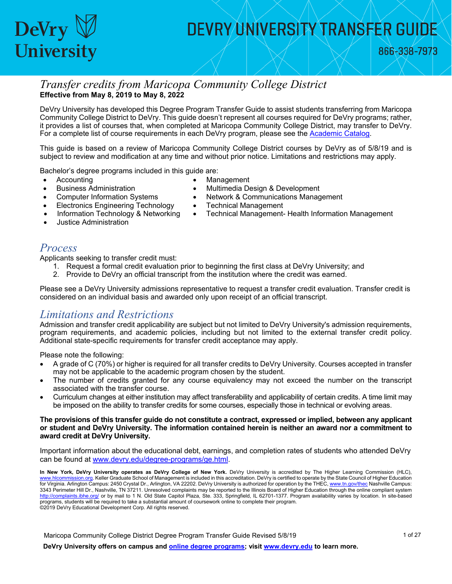

866-338-7973

#### *Transfer credits from Maricopa Community College District* **Effective from May 8, 2019 to May 8, 2022**

DeVry University has developed this Degree Program Transfer Guide to assist students transferring from Maricopa Community College District to DeVry. This guide doesn't represent all courses required for DeVry programs; rather, it provides a list of courses that, when completed at Maricopa Community College District, may transfer to DeVry. For a complete list of course requirements in each DeVry program, please see the [Academic Catalog.](http://www.devry.edu/catalogs)

This guide is based on a review of Maricopa Community College District courses by DeVry as of 5/8/19 and is subject to review and modification at any time and without prior notice. Limitations and restrictions may apply.

Bachelor's degree programs included in this guide are:

• Accounting

- **Management**
- Multimedia Design & Development
- Network & Communications Management
- Technical Management
- Technical Management- Health Information Management

• Justice Administration

• Business Administration

#### *Process*

Applicants seeking to transfer credit must:

• Computer Information Systems • Electronics Engineering Technology • Information Technology & Networking

- 1. Request a formal credit evaluation prior to beginning the first class at DeVry University; and
- 2. Provide to DeVry an official transcript from the institution where the credit was earned.

Please see a DeVry University admissions representative to request a transfer credit evaluation. Transfer credit is considered on an individual basis and awarded only upon receipt of an official transcript.

#### *Limitations and Restrictions*

Admission and transfer credit applicability are subject but not limited to DeVry University's admission requirements, program requirements, and academic policies, including but not limited to the external transfer credit policy. Additional state-specific requirements for transfer credit acceptance may apply.

Please note the following:

- A grade of C (70%) or higher is required for all transfer credits to DeVry University. Courses accepted in transfer may not be applicable to the academic program chosen by the student.
- The number of credits granted for any course equivalency may not exceed the number on the transcript associated with the transfer course.
- Curriculum changes at either institution may affect transferability and applicability of certain credits. A time limit may be imposed on the ability to transfer credits for some courses, especially those in technical or evolving areas.

#### **The provisions of this transfer guide do not constitute a contract, expressed or implied, between any applicant or student and DeVry University. The information contained herein is neither an award nor a commitment to award credit at DeVry University.**

Important information about the educational debt, earnings, and completion rates of students who attended DeVry can be found at [www.devry.edu/degree-programs/ge.html.](http://www.devry.edu/degree-programs/ge.html)

**In New York, DeVry University operates as DeVry College of New York.** DeVry University is accredited by The Higher Learning Commission (HLC), sion.org. Keller Graduate School of Management is included in this accreditation. DeVry is certified to operate by the State Council of Higher Education for Virginia. Arlington Campus: 2450 Crystal Dr., Arlington, VA 22202. DeVry University is authorized for operation by the THEC[, www.tn.gov/thec N](http://www.tn.gov/thec)ashville Campus: 3343 Perimeter Hill Dr., Nashville, TN 37211. Unresolved complaints may be reported to the Illinois Board of Higher Education through the online compliant system <http://complaints.ibhe.org/> or by mail to 1 N. Old State Capitol Plaza, Ste. 333, Springfield, IL 62701-1377. Program availability varies by location. In site-based programs, students will be required to take a substantial amount of coursework online to complete their program. ©2019 DeVry Educational Development Corp. All rights reserved.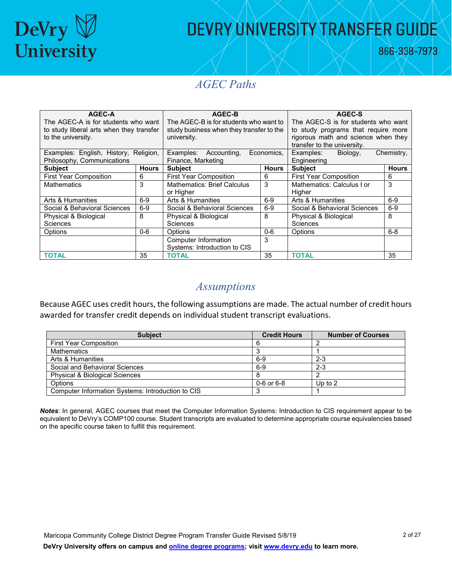

866-338-7973

#### *AGEC Paths*

| AGEC-A                                   |              | AGEC-B                                   |              | AGEC-S                              |                                     |  |
|------------------------------------------|--------------|------------------------------------------|--------------|-------------------------------------|-------------------------------------|--|
| The AGEC-A is for students who want      |              | The AGEC-B is for students who want to   |              |                                     | The AGEC-S is for students who want |  |
| to study liberal arts when they transfer |              | study business when they transfer to the |              | to study programs that require more |                                     |  |
| to the university.                       |              | university.                              |              | rigorous math and science when they |                                     |  |
|                                          |              |                                          |              | transfer to the university.         |                                     |  |
| Examples: English, History, Religion,    |              | Examples: Accounting,                    | Economics.   | Examples:<br>Biology,               | Chemistry,                          |  |
| Philosophy, Communications               |              | Finance, Marketing                       |              | Engineering                         |                                     |  |
| <b>Subject</b>                           | <b>Hours</b> | <b>Subject</b>                           | <b>Hours</b> | <b>Subject</b>                      | <b>Hours</b>                        |  |
| <b>First Year Composition</b>            | 6            | <b>First Year Composition</b>            | 6            | <b>First Year Composition</b>       | 6                                   |  |
| <b>Mathematics</b>                       | 3            | <b>Mathematics: Brief Calculus</b>       | 3            | Mathematics: Calculus I or          | 3                                   |  |
|                                          |              | or Higher                                |              | Higher                              |                                     |  |
| Arts & Humanities                        | $6-9$        | Arts & Humanities                        | $6-9$        | Arts & Humanities                   | $6-9$                               |  |
| Social & Behavioral Sciences             | $6-9$        | Social & Behavioral Sciences             | $6-9$        | Social & Behavioral Sciences        | $6-9$                               |  |
| Physical & Biological                    | 8            | 8<br>Physical & Biological               |              | Physical & Biological               | 8                                   |  |
| <b>Sciences</b>                          |              | Sciences                                 |              | Sciences                            |                                     |  |
| Options                                  | $0 - 6$      | Options                                  | $0 - 6$      | Options                             | $6 - 8$                             |  |
|                                          |              | Computer Information                     | 3            |                                     |                                     |  |
|                                          |              | Systems: Introduction to CIS             |              |                                     |                                     |  |
| <b>TOTAL</b>                             | 35           | ΤΟΤΑL                                    | 35           | <b>TOTAL</b>                        | 35                                  |  |

#### *Assumptions*

Because AGEC uses credit hours, the following assumptions are made. The actual number of credit hours awarded for transfer credit depends on individual student transcript evaluations.

| <b>Subject</b>                                    | <b>Credit Hours</b> | <b>Number of Courses</b> |
|---------------------------------------------------|---------------------|--------------------------|
| <b>First Year Composition</b>                     |                     |                          |
| <b>Mathematics</b>                                |                     |                          |
| Arts & Humanities                                 | 6-9                 | $2 - 3$                  |
| Social and Behavioral Sciences                    | 6-9                 | $2 - 3$                  |
| <b>Physical &amp; Biological Sciences</b>         |                     |                          |
| Options                                           | $0 - 6$ or $6 - 8$  | Up to $2$                |
| Computer Information Systems: Introduction to CIS |                     |                          |

*Notes*: In general, AGEC courses that meet the Computer Information Systems: Introduction to CIS requirement appear to be equivalent to DeVry's COMP100 course. Student transcripts are evaluated to determine appropriate course equivalencies based on the specific course taken to fulfill this requirement.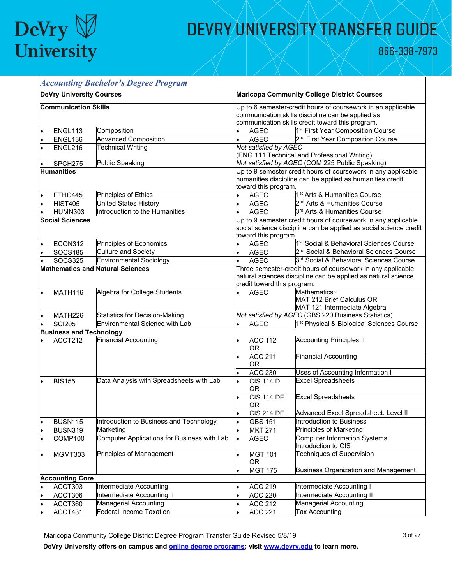

866-338-7973

|                                         |                                 | <b>Accounting Bachelor's Degree Program</b>                                                                                                                 |                                                                                                                                    |                                                                           |  |  |
|-----------------------------------------|---------------------------------|-------------------------------------------------------------------------------------------------------------------------------------------------------------|------------------------------------------------------------------------------------------------------------------------------------|---------------------------------------------------------------------------|--|--|
|                                         | <b>DeVry University Courses</b> |                                                                                                                                                             | <b>Maricopa Community College District Courses</b>                                                                                 |                                                                           |  |  |
|                                         | <b>Communication Skills</b>     |                                                                                                                                                             | Up to 6 semester-credit hours of coursework in an applicable                                                                       |                                                                           |  |  |
|                                         |                                 |                                                                                                                                                             |                                                                                                                                    | communication skills discipline can be applied as                         |  |  |
|                                         |                                 |                                                                                                                                                             |                                                                                                                                    | communication skills credit toward this program.                          |  |  |
|                                         | ENGL113                         | Composition                                                                                                                                                 | <b>AGEC</b>                                                                                                                        | 1 <sup>st</sup> First Year Composition Course                             |  |  |
|                                         | ENGL136                         | <b>Advanced Composition</b>                                                                                                                                 | <b>AGEC</b>                                                                                                                        | 2 <sup>nd</sup> First Year Composition Course                             |  |  |
|                                         | ENGL216                         | <b>Technical Writing</b>                                                                                                                                    | Not satisfied by AGEC                                                                                                              | <b>ENG 111 Technical and Professional Writing)</b>                        |  |  |
|                                         | SPCH275                         | <b>Public Speaking</b>                                                                                                                                      |                                                                                                                                    | Not satisfied by AGEC (COM 225 Public Speaking)                           |  |  |
| <b>Humanities</b>                       |                                 | toward this program.                                                                                                                                        | Up to 9 semester credit hours of coursework in any applicable<br>humanities discipline can be applied as humanities credit         |                                                                           |  |  |
|                                         | ETHC445                         | Principles of Ethics                                                                                                                                        | <b>AGEC</b>                                                                                                                        | 1 <sup>st</sup> Arts & Humanities Course                                  |  |  |
|                                         | <b>HIST405</b>                  | <b>United States History</b>                                                                                                                                | <b>AGEC</b>                                                                                                                        | 2 <sup>nd</sup> Arts & Humanities Course                                  |  |  |
|                                         | <b>HUMN303</b>                  | Introduction to the Humanities                                                                                                                              | <b>AGEC</b>                                                                                                                        | 3 <sup>rd</sup> Arts & Humanities Course                                  |  |  |
| <b>Social Sciences</b>                  |                                 | toward this program.                                                                                                                                        | Up to 9 semester credit hours of coursework in any applicable<br>social science discipline can be applied as social science credit |                                                                           |  |  |
|                                         | ECON312                         | Principles of Economics                                                                                                                                     | <b>AGEC</b>                                                                                                                        | 1 <sup>st</sup> Social & Behavioral Sciences Course                       |  |  |
|                                         | <b>SOCS185</b>                  | <b>Culture and Society</b>                                                                                                                                  | <b>AGEC</b>                                                                                                                        | 2 <sup>nd</sup> Social & Behavioral Sciences Course                       |  |  |
|                                         | <b>SOCS325</b>                  | <b>Environmental Sociology</b>                                                                                                                              | <b>AGEC</b>                                                                                                                        | 3rd Social & Behavioral Sciences Course                                   |  |  |
| <b>Mathematics and Natural Sciences</b> |                                 | Three semester-credit hours of coursework in any applicable<br>natural sciences discipline can be applied as natural science<br>credit toward this program. |                                                                                                                                    |                                                                           |  |  |
|                                         | MATH116                         | Algebra for College Students                                                                                                                                | <b>AGEC</b>                                                                                                                        | Mathematics~<br>MAT 212 Brief Calculus OR<br>MAT 121 Intermediate Algebra |  |  |
|                                         | MATH226                         | <b>Statistics for Decision-Making</b>                                                                                                                       |                                                                                                                                    | Not satisfied by AGEC (GBS 220 Business Statistics)                       |  |  |
|                                         | <b>SCI205</b>                   | Environmental Science with Lab                                                                                                                              | <b>AGEC</b>                                                                                                                        | 1 <sup>st</sup> Physical & Biological Sciences Course                     |  |  |
|                                         | <b>Business and Technology</b>  |                                                                                                                                                             |                                                                                                                                    |                                                                           |  |  |
|                                         | ACCT212                         | <b>Financial Accounting</b>                                                                                                                                 | <b>ACC 112</b><br><b>OR</b>                                                                                                        | <b>Accounting Principles II</b>                                           |  |  |
|                                         |                                 |                                                                                                                                                             | <b>ACC 211</b><br><b>OR</b>                                                                                                        | <b>Financial Accounting</b>                                               |  |  |
|                                         |                                 |                                                                                                                                                             | <b>ACC 230</b>                                                                                                                     | Uses of Accounting Information I                                          |  |  |
|                                         | <b>BIS155</b>                   | Data Analysis with Spreadsheets with Lab                                                                                                                    | <b>CIS 114 D</b><br>0R                                                                                                             | <b>Excel Spreadsheets</b>                                                 |  |  |
|                                         |                                 |                                                                                                                                                             | <b>CIS 114 DE</b><br><b>OR</b>                                                                                                     | <b>Excel Spreadsheets</b>                                                 |  |  |
|                                         |                                 |                                                                                                                                                             | <b>CIS 214 DE</b>                                                                                                                  | Advanced Excel Spreadsheet: Level II                                      |  |  |
|                                         | <b>BUSN115</b>                  | Introduction to Business and Technology                                                                                                                     | <b>GBS 151</b>                                                                                                                     | Introduction to Business                                                  |  |  |
|                                         | <b>BUSN319</b>                  | Marketing                                                                                                                                                   | <b>MKT 271</b>                                                                                                                     | <b>Principles of Marketing</b>                                            |  |  |
|                                         | COMP100                         | Computer Applications for Business with Lab                                                                                                                 | <b>AGEC</b>                                                                                                                        | <b>Computer Information Systems:</b><br>Introduction to CIS               |  |  |
|                                         | MGMT303                         | Principles of Management                                                                                                                                    | <b>MGT 101</b><br><b>OR</b>                                                                                                        | Techniques of Supervision                                                 |  |  |
|                                         |                                 |                                                                                                                                                             | <b>MGT 175</b>                                                                                                                     | <b>Business Organization and Management</b>                               |  |  |
|                                         | <b>Accounting Core</b>          |                                                                                                                                                             |                                                                                                                                    |                                                                           |  |  |
|                                         | ACCT303                         | Intermediate Accounting I                                                                                                                                   | <b>ACC 219</b>                                                                                                                     | Intermediate Accounting I                                                 |  |  |
|                                         | ACCT306                         | Intermediate Accounting II                                                                                                                                  | <b>ACC 220</b>                                                                                                                     | Intermediate Accounting II                                                |  |  |
|                                         | ACCT360                         | Managerial Accounting                                                                                                                                       | <b>ACC 212</b>                                                                                                                     | Managerial Accounting                                                     |  |  |
|                                         | ACCT431                         | <b>Federal Income Taxation</b>                                                                                                                              | <b>ACC 221</b>                                                                                                                     | Tax Accounting                                                            |  |  |

Maricopa Community College District Degree Program Transfer Guide Revised 5/8/19 3 3 3 3 3 3 3 3 3 3 3 3 4 3 3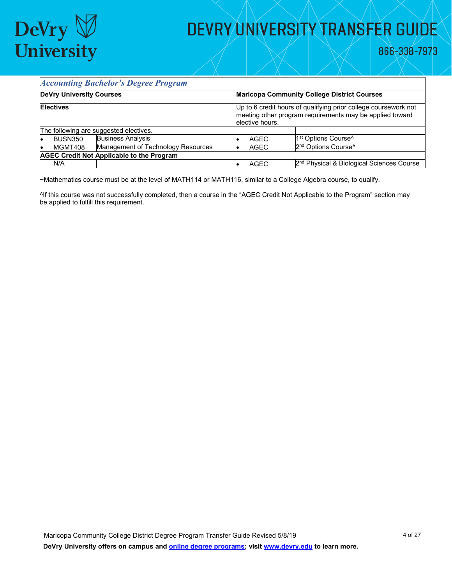

#### *Accounting Bachelor's Degree Program*

| <b>DeVry University Courses</b>                  |                                        | <b>Maricopa Community College District Courses</b>                                                                                              |                                                       |  |
|--------------------------------------------------|----------------------------------------|-------------------------------------------------------------------------------------------------------------------------------------------------|-------------------------------------------------------|--|
| <b>Electives</b>                                 |                                        | Up to 6 credit hours of qualifying prior college coursework not<br>meeting other program requirements may be applied toward<br>lelective hours. |                                                       |  |
|                                                  | The following are suggested electives. |                                                                                                                                                 |                                                       |  |
| <b>BUSN350</b>                                   | <b>Business Analysis</b>               | <b>AGEC</b>                                                                                                                                     | 1 <sup>st</sup> Options Course <sup>^</sup>           |  |
| MGMT408                                          | Management of Technology Resources     | AGEC                                                                                                                                            | 2 <sup>nd</sup> Options Course <sup>^</sup>           |  |
| <b>AGEC Credit Not Applicable to the Program</b> |                                        |                                                                                                                                                 |                                                       |  |
| N/A                                              |                                        | AGEC                                                                                                                                            | 2 <sup>nd</sup> Physical & Biological Sciences Course |  |

~Mathematics course must be at the level of MATH114 or MATH116, similar to a College Algebra course, to qualify.

^If this course was not successfully completed, then a course in the "AGEC Credit Not Applicable to the Program" section may be applied to fulfill this requirement.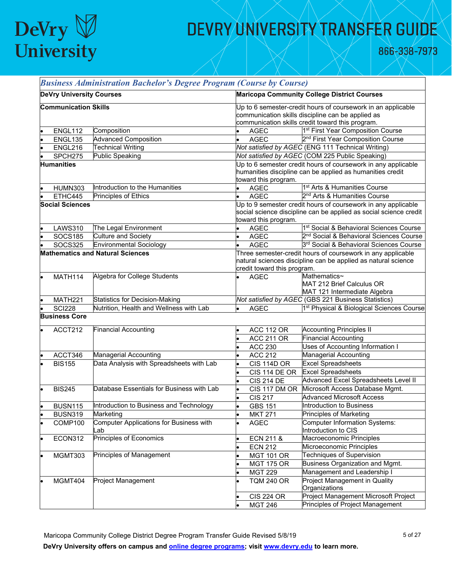

866-338-7973

|                                         |                                 | <b>Business Administration Bachelor's Degree Program (Course by Course)</b> |                                                                                                                                                                       |                      |                                                                                                                                    |  |
|-----------------------------------------|---------------------------------|-----------------------------------------------------------------------------|-----------------------------------------------------------------------------------------------------------------------------------------------------------------------|----------------------|------------------------------------------------------------------------------------------------------------------------------------|--|
|                                         | <b>DeVry University Courses</b> |                                                                             |                                                                                                                                                                       |                      | <b>Maricopa Community College District Courses</b>                                                                                 |  |
|                                         | <b>Communication Skills</b>     |                                                                             | Up to 6 semester-credit hours of coursework in an applicable<br>communication skills discipline can be applied as<br>communication skills credit toward this program. |                      |                                                                                                                                    |  |
|                                         | ENGL112                         | Composition                                                                 |                                                                                                                                                                       | <b>AGEC</b>          | 1 <sup>st</sup> First Year Composition Course                                                                                      |  |
|                                         | ENGL135                         | <b>Advanced Composition</b>                                                 |                                                                                                                                                                       | <b>AGEC</b>          | 2 <sup>nd</sup> First Year Composition Course                                                                                      |  |
| l.                                      | ENGL216                         | <b>Technical Writing</b>                                                    |                                                                                                                                                                       |                      | Not satisfied by AGEC (ENG 111 Technical Writing)                                                                                  |  |
|                                         | SPCH275                         | <b>Public Speaking</b>                                                      |                                                                                                                                                                       |                      | Not satisfied by AGEC (COM 225 Public Speaking)                                                                                    |  |
|                                         | <b>Humanities</b>               |                                                                             |                                                                                                                                                                       |                      | Up to 6 semester credit hours of coursework in any applicable<br>humanities discipline can be applied as humanities credit         |  |
|                                         |                                 |                                                                             |                                                                                                                                                                       | toward this program. |                                                                                                                                    |  |
|                                         | <b>HUMN303</b>                  | Introduction to the Humanities                                              |                                                                                                                                                                       | <b>AGEC</b>          | 1 <sup>st</sup> Arts & Humanities Course                                                                                           |  |
|                                         | ETHC445                         | Principles of Ethics                                                        | $\bullet$                                                                                                                                                             | <b>AGEC</b>          | 2 <sup>nd</sup> Arts & Humanities Course                                                                                           |  |
| <b>Social Sciences</b>                  |                                 |                                                                             |                                                                                                                                                                       | toward this program. | Up to 9 semester credit hours of coursework in any applicable<br>social science discipline can be applied as social science credit |  |
|                                         | <b>LAWS310</b>                  | The Legal Environment                                                       |                                                                                                                                                                       | <b>AGEC</b>          | 1st Social & Behavioral Sciences Course                                                                                            |  |
|                                         | <b>SOCS185</b>                  | Culture and Society                                                         | l.                                                                                                                                                                    | <b>AGEC</b>          | 2 <sup>nd</sup> Social & Behavioral Sciences Course                                                                                |  |
|                                         | <b>SOCS325</b>                  | <b>Environmental Sociology</b>                                              | l.                                                                                                                                                                    | <b>AGEC</b>          | 3rd Social & Behavioral Sciences Course                                                                                            |  |
| <b>Mathematics and Natural Sciences</b> |                                 |                                                                             | Three semester-credit hours of coursework in any applicable<br>natural sciences discipline can be applied as natural science<br>credit toward this program.           |                      |                                                                                                                                    |  |
|                                         | MATH114                         | Algebra for College Students                                                |                                                                                                                                                                       | <b>AGEC</b>          | Mathematics~<br>MAT 212 Brief Calculus OR<br>MAT 121 Intermediate Algebra                                                          |  |
|                                         | MATH221                         | <b>Statistics for Decision-Making</b>                                       |                                                                                                                                                                       |                      | Not satisfied by AGEC (GBS 221 Business Statistics)                                                                                |  |
|                                         | <b>SCI228</b>                   | Nutrition, Health and Wellness with Lab                                     |                                                                                                                                                                       | <b>AGEC</b>          | 1st Physical & Biological Sciences Course                                                                                          |  |
|                                         | <b>Business Core</b>            |                                                                             |                                                                                                                                                                       |                      |                                                                                                                                    |  |
|                                         | ACCT212                         | <b>Financial Accounting</b>                                                 |                                                                                                                                                                       | <b>ACC 112 OR</b>    | <b>Accounting Principles II</b>                                                                                                    |  |
|                                         |                                 |                                                                             |                                                                                                                                                                       | <b>ACC 211 OR</b>    | <b>Financial Accounting</b>                                                                                                        |  |
|                                         |                                 |                                                                             |                                                                                                                                                                       | <b>ACC 230</b>       | Uses of Accounting Information I                                                                                                   |  |
|                                         | ACCT346                         | <b>Managerial Accounting</b>                                                |                                                                                                                                                                       | <b>ACC 212</b>       | <b>Managerial Accounting</b>                                                                                                       |  |
|                                         | <b>BIS155</b>                   | Data Analysis with Spreadsheets with Lab                                    |                                                                                                                                                                       | <b>CIS 114D OR</b>   | <b>Excel Spreadsheets</b>                                                                                                          |  |
|                                         |                                 |                                                                             |                                                                                                                                                                       | CIS 114 DE OR        | <b>Excel Spreadsheets</b>                                                                                                          |  |
|                                         |                                 |                                                                             |                                                                                                                                                                       | <b>CIS 214 DE</b>    | Advanced Excel Spreadsheets Level II                                                                                               |  |
|                                         | <b>BIS245</b>                   | Database Essentials for Business with Lab                                   |                                                                                                                                                                       | CIS 117 DM OR        | Microsoft Access Database Mgmt.                                                                                                    |  |
|                                         |                                 |                                                                             |                                                                                                                                                                       | <b>CIS 217</b>       | <b>Advanced Microsoft Access</b>                                                                                                   |  |
|                                         | <b>BUSN115</b>                  | Introduction to Business and Technology                                     |                                                                                                                                                                       | <b>GBS 151</b>       | Introduction to Business                                                                                                           |  |
|                                         | <b>BUSN319</b>                  | Marketing                                                                   |                                                                                                                                                                       | <b>MKT 271</b>       | Principles of Marketing                                                                                                            |  |
|                                         | COMP100                         | Computer Applications for Business with                                     |                                                                                                                                                                       | <b>AGEC</b>          | <b>Computer Information Systems:</b>                                                                                               |  |
|                                         |                                 | _ab                                                                         |                                                                                                                                                                       |                      | Introduction to CIS                                                                                                                |  |
|                                         | ECON312                         | Principles of Economics                                                     |                                                                                                                                                                       | ECN 211 &            | Macroeconomic Principles                                                                                                           |  |
|                                         |                                 |                                                                             |                                                                                                                                                                       | <b>ECN 212</b>       | Microeconomic Principles                                                                                                           |  |
|                                         | MGMT303                         | Principles of Management                                                    |                                                                                                                                                                       | <b>MGT 101 OR</b>    | Techniques of Supervision                                                                                                          |  |
|                                         |                                 |                                                                             |                                                                                                                                                                       | <b>MGT 175 OR</b>    | Business Organization and Mgmt.                                                                                                    |  |
|                                         |                                 |                                                                             |                                                                                                                                                                       | <b>MGT 229</b>       | Management and Leadership I                                                                                                        |  |
|                                         | MGMT404                         | Project Management                                                          |                                                                                                                                                                       | <b>TQM 240 OR</b>    | Project Management in Quality<br>Organizations                                                                                     |  |
|                                         |                                 |                                                                             |                                                                                                                                                                       | <b>CIS 224 OR</b>    | Project Management Microsoft Project                                                                                               |  |
|                                         |                                 |                                                                             |                                                                                                                                                                       | <b>MGT 246</b>       | Principles of Project Management                                                                                                   |  |

Maricopa Community College District Degree Program Transfer Guide Revised 5/8/19 5 5 5 5 5 5 5 5 5 5 5 5 5 5 5 5 7 **DeVry University offers on campus and [online degree programs;](https://www.devry.edu/online-education/online-degree-programs.html) visit [www.devry.edu](http://www.devry.edu/) to learn more.**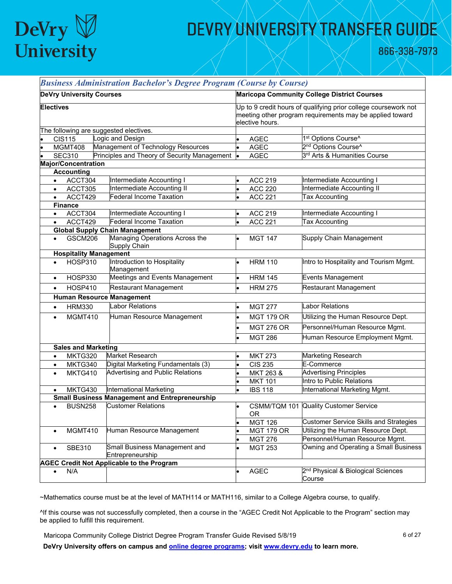

866-338-7973

|                        |                                 | <b>Business Administration Bachelor's Degree Program (Course by Course)</b> |                                                                                                                                                                                                      |                                  |                                                          |  |
|------------------------|---------------------------------|-----------------------------------------------------------------------------|------------------------------------------------------------------------------------------------------------------------------------------------------------------------------------------------------|----------------------------------|----------------------------------------------------------|--|
|                        | <b>DeVry University Courses</b> |                                                                             | <b>Maricopa Community College District Courses</b><br>Up to 9 credit hours of qualifying prior college coursework not<br>meeting other program requirements may be applied toward<br>elective hours. |                                  |                                                          |  |
| <b>Electives</b>       |                                 |                                                                             |                                                                                                                                                                                                      |                                  |                                                          |  |
|                        |                                 | The following are suggested electives.                                      |                                                                                                                                                                                                      |                                  |                                                          |  |
|                        | <b>CIS115</b>                   | Logic and Design                                                            |                                                                                                                                                                                                      | <b>AGEC</b>                      | 1st Options Course^                                      |  |
|                        | MGMT408                         | Management of Technology Resources                                          |                                                                                                                                                                                                      | <b>AGEC</b>                      | 2 <sup>nd</sup> Options Course <sup>^</sup>              |  |
|                        | <b>SEC310</b>                   | Principles and Theory of Security Management                                | <b>le</b>                                                                                                                                                                                            | <b>AGEC</b>                      | 3 <sup>rd</sup> Arts & Humanities Course                 |  |
|                        | <b>Major/Concentration</b>      |                                                                             |                                                                                                                                                                                                      |                                  |                                                          |  |
|                        | <b>Accounting</b>               | Intermediate Accounting I                                                   |                                                                                                                                                                                                      | <b>ACC 219</b>                   | Intermediate Accounting I                                |  |
| $\bullet$<br>$\bullet$ | ACCT304<br>ACCT305              | Intermediate Accounting II                                                  |                                                                                                                                                                                                      | <b>ACC 220</b>                   | Intermediate Accounting II                               |  |
| $\bullet$              | ACCT429                         | <b>Federal Income Taxation</b>                                              |                                                                                                                                                                                                      | <b>ACC 221</b>                   | <b>Tax Accounting</b>                                    |  |
|                        | <b>Finance</b>                  |                                                                             |                                                                                                                                                                                                      |                                  |                                                          |  |
| $\bullet$              | ACCT304                         | Intermediate Accounting I                                                   |                                                                                                                                                                                                      | <b>ACC 219</b>                   | Intermediate Accounting I                                |  |
| $\bullet$              | ACCT429                         | <b>Federal Income Taxation</b>                                              |                                                                                                                                                                                                      | <b>ACC 221</b>                   | <b>Tax Accounting</b>                                    |  |
|                        |                                 | <b>Global Supply Chain Management</b>                                       |                                                                                                                                                                                                      |                                  |                                                          |  |
|                        | <b>GSCM206</b>                  | Managing Operations Across the<br>Supply Chain                              |                                                                                                                                                                                                      | <b>MGT 147</b>                   | <b>Supply Chain Management</b>                           |  |
|                        |                                 | <b>Hospitality Management</b>                                               |                                                                                                                                                                                                      |                                  |                                                          |  |
| $\bullet$              | <b>HOSP310</b>                  | Introduction to Hospitality<br>Management                                   | $\bullet$                                                                                                                                                                                            | <b>HRM 110</b>                   | Intro to Hospitality and Tourism Mgmt.                   |  |
| $\bullet$              | <b>HOSP330</b>                  | Meetings and Events Management                                              | l.                                                                                                                                                                                                   | <b>HRM 145</b>                   | <b>Events Management</b>                                 |  |
| $\bullet$              | <b>HOSP410</b>                  | Restaurant Management                                                       |                                                                                                                                                                                                      | <b>HRM 275</b>                   | Restaurant Management                                    |  |
|                        |                                 | <b>Human Resource Management</b>                                            |                                                                                                                                                                                                      |                                  |                                                          |  |
| $\bullet$              | <b>HRM330</b>                   | <b>Labor Relations</b>                                                      | $\bullet$                                                                                                                                                                                            | <b>MGT 277</b>                   | <b>Labor Relations</b>                                   |  |
| $\bullet$              | MGMT410                         | Human Resource Management                                                   |                                                                                                                                                                                                      | <b>MGT 179 OR</b>                | Utilizing the Human Resource Dept.                       |  |
|                        |                                 |                                                                             |                                                                                                                                                                                                      | <b>MGT 276 OR</b>                | Personnel/Human Resource Mgmt.                           |  |
|                        |                                 |                                                                             |                                                                                                                                                                                                      |                                  | Human Resource Employment Mgmt.                          |  |
|                        |                                 |                                                                             |                                                                                                                                                                                                      | <b>MGT 286</b>                   |                                                          |  |
|                        | <b>Sales and Marketing</b>      | Market Research                                                             |                                                                                                                                                                                                      |                                  |                                                          |  |
| $\bullet$              | MKTG320<br>MKTG340              | Digital Marketing Fundamentals (3)                                          |                                                                                                                                                                                                      | <b>MKT 273</b><br><b>CIS 235</b> | Marketing Research<br>E-Commerce                         |  |
| $\bullet$<br>$\bullet$ | MKTG410                         | <b>Advertising and Public Relations</b>                                     |                                                                                                                                                                                                      | MKT 263 &                        | <b>Advertising Principles</b>                            |  |
|                        |                                 |                                                                             |                                                                                                                                                                                                      | <b>MKT 101</b>                   | Intro to Public Relations                                |  |
| $\bullet$              | MKTG430                         | International Marketing                                                     |                                                                                                                                                                                                      | <b>IBS 118</b>                   | International Marketing Mgmt.                            |  |
|                        |                                 | <b>Small Business Management and Entrepreneurship</b>                       |                                                                                                                                                                                                      |                                  |                                                          |  |
| $\bullet$              | <b>BUSN258</b>                  | <b>Customer Relations</b>                                                   | l.                                                                                                                                                                                                   | <b>OR</b>                        | <b>CSMM/TQM 101 Quality Customer Service</b>             |  |
|                        |                                 |                                                                             |                                                                                                                                                                                                      | <b>MGT 126</b>                   | <b>Customer Service Skills and Strategies</b>            |  |
| $\bullet$              | MGMT410                         | Human Resource Management                                                   |                                                                                                                                                                                                      | <b>MGT 179 OR</b>                | Utilizing the Human Resource Dept.                       |  |
|                        |                                 |                                                                             |                                                                                                                                                                                                      | <b>MGT 276</b>                   | Personnel/Human Resource Mgmt.                           |  |
| $\bullet$              | SBE310                          | Small Business Management and<br>Entrepreneurship                           |                                                                                                                                                                                                      | <b>MGT 253</b>                   | Owning and Operating a Small Business                    |  |
|                        |                                 | <b>AGEC Credit Not Applicable to the Program</b>                            |                                                                                                                                                                                                      |                                  |                                                          |  |
| $\bullet$              | N/A                             |                                                                             |                                                                                                                                                                                                      | <b>AGEC</b>                      | 2 <sup>nd</sup> Physical & Biological Sciences<br>Course |  |

~Mathematics course must be at the level of MATH114 or MATH116, similar to a College Algebra course, to qualify.

^If this course was not successfully completed, then a course in the "AGEC Credit Not Applicable to the Program" section may be applied to fulfill this requirement.

Maricopa Community College District Degree Program Transfer Guide Revised 5/8/19 6 66 07 6 6 6 127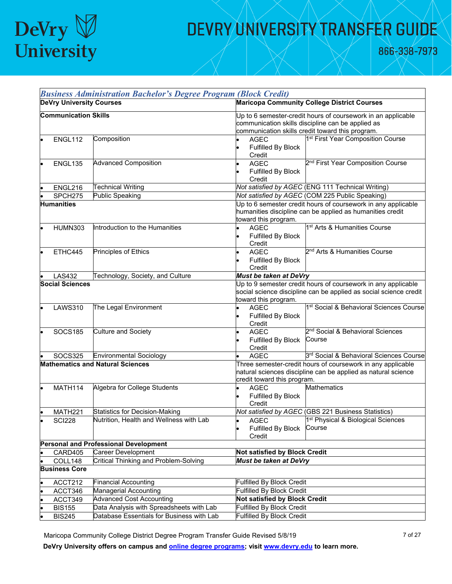# $\begin{array}{c} \mathrm{DeVry} \boxtimes \\ \mathrm{University} \end{array}$

## DEVRY UNIVERSITY TRANSFER GUIDE

866-338-7973

|                                          | <b>Business Administration Bachelor's Degree Program (Block Credit)</b> |                                                                                                                                                                                                                                                        |  |  |  |
|------------------------------------------|-------------------------------------------------------------------------|--------------------------------------------------------------------------------------------------------------------------------------------------------------------------------------------------------------------------------------------------------|--|--|--|
| <b>DeVry University Courses</b>          |                                                                         | <b>Maricopa Community College District Courses</b>                                                                                                                                                                                                     |  |  |  |
| <b>Communication Skills</b>              |                                                                         | Up to 6 semester-credit hours of coursework in an applicable<br>communication skills discipline can be applied as<br>communication skills credit toward this program.                                                                                  |  |  |  |
| ENGL112                                  | Composition                                                             | 1 <sup>st</sup> First Year Composition Course<br><b>AGEC</b><br>Fulfilled By Block<br>Credit                                                                                                                                                           |  |  |  |
| <b>ENGL135</b>                           | <b>Advanced Composition</b>                                             | 2 <sup>nd</sup> First Year Composition Course<br><b>AGEC</b><br>Fulfilled By Block<br>Credit                                                                                                                                                           |  |  |  |
| ENGL216                                  | <b>Technical Writing</b>                                                | Not satisfied by AGEC (ENG 111 Technical Writing)                                                                                                                                                                                                      |  |  |  |
| SPCH275                                  | <b>Public Speaking</b>                                                  | Not satisfied by AGEC (COM 225 Public Speaking)                                                                                                                                                                                                        |  |  |  |
| <b>Humanities</b>                        |                                                                         | Up to 6 semester credit hours of coursework in any applicable<br>humanities discipline can be applied as humanities credit<br>toward this program.                                                                                                     |  |  |  |
| <b>HUMN303</b>                           | Introduction to the Humanities                                          | 1 <sup>st</sup> Arts & Humanities Course<br><b>AGEC</b><br>Fulfilled By Block<br>Credit                                                                                                                                                                |  |  |  |
| ETHC445                                  | Principles of Ethics                                                    | 2 <sup>nd</sup> Arts & Humanities Course<br><b>AGEC</b><br>Fulfilled By Block<br>Credit                                                                                                                                                                |  |  |  |
| <b>LAS432</b>                            | Technology, Society, and Culture                                        | Must be taken at DeVry                                                                                                                                                                                                                                 |  |  |  |
| <b>Social Sciences</b><br><b>LAWS310</b> | The Legal Environment                                                   | Up to 9 semester credit hours of coursework in any applicable<br>social science discipline can be applied as social science credit<br>toward this program.<br>1 <sup>st</sup> Social & Behavioral Sciences Course<br><b>AGEC</b><br>Fulfilled By Block |  |  |  |
| <b>SOCS185</b>                           | <b>Culture and Society</b>                                              | Credit<br>2 <sup>nd</sup> Social & Behavioral Sciences<br><b>AGEC</b><br>Course<br>Fulfilled By Block<br>Credit                                                                                                                                        |  |  |  |
| <b>SOCS325</b>                           | <b>Environmental Sociology</b>                                          | 3rd Social & Behavioral Sciences Course<br><b>AGEC</b>                                                                                                                                                                                                 |  |  |  |
| MATH114                                  | <b>Mathematics and Natural Sciences</b><br>Algebra for College Students | Three semester-credit hours of coursework in any applicable<br>natural sciences discipline can be applied as natural science<br>credit toward this program.<br><b>Mathematics</b><br><b>AGEC</b>                                                       |  |  |  |
|                                          |                                                                         | Fulfilled By Block<br>Credit                                                                                                                                                                                                                           |  |  |  |
| MATH221                                  | <b>Statistics for Decision-Making</b>                                   | Not satisfied by AGEC (GBS 221 Business Statistics)                                                                                                                                                                                                    |  |  |  |
| <b>SCI228</b>                            | Nutrition, Health and Wellness with Lab                                 | <b>AGEC</b><br>1 <sup>st</sup> Physical & Biological Sciences<br>Fulfilled By Block<br>Course<br>Credit                                                                                                                                                |  |  |  |
|                                          | Personal and Professional Development                                   |                                                                                                                                                                                                                                                        |  |  |  |
| CARD405                                  | Career Development                                                      | Not satisfied by Block Credit                                                                                                                                                                                                                          |  |  |  |
| COLL148                                  | <b>Critical Thinking and Problem-Solving</b>                            | <b>Must be taken at DeVry</b>                                                                                                                                                                                                                          |  |  |  |
| <b>Business Core</b>                     |                                                                         |                                                                                                                                                                                                                                                        |  |  |  |
| ACCT212                                  | <b>Financial Accounting</b>                                             | Fulfilled By Block Credit<br><b>Fulfilled By Block Credit</b>                                                                                                                                                                                          |  |  |  |
| ACCT346                                  | Managerial Accounting<br><b>Advanced Cost Accounting</b>                | <b>Not satisfied by Block Credit</b>                                                                                                                                                                                                                   |  |  |  |
| ACCT349                                  | Data Analysis with Spreadsheets with Lab                                | <b>Fulfilled By Block Credit</b>                                                                                                                                                                                                                       |  |  |  |
| <b>BIS155</b><br><b>BIS245</b>           | Database Essentials for Business with Lab                               | <b>Fulfilled By Block Credit</b>                                                                                                                                                                                                                       |  |  |  |
|                                          |                                                                         |                                                                                                                                                                                                                                                        |  |  |  |

Maricopa Community College District Degree Program Transfer Guide Revised 5/8/19 7 0127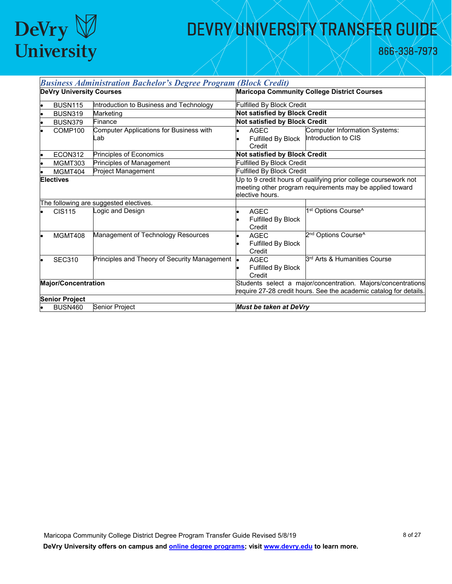

866-338-7973

| <b>Business Administration Bachelor's Degree Program (Block Credit)</b> |                                                |                                                                                                                                                |  |  |
|-------------------------------------------------------------------------|------------------------------------------------|------------------------------------------------------------------------------------------------------------------------------------------------|--|--|
| <b>DeVry University Courses</b>                                         |                                                | <b>Maricopa Community College District Courses</b>                                                                                             |  |  |
| <b>BUSN115</b>                                                          | Introduction to Business and Technology        | <b>Fulfilled By Block Credit</b>                                                                                                               |  |  |
| <b>BUSN319</b>                                                          | Marketing                                      | <b>Not satisfied by Block Credit</b>                                                                                                           |  |  |
| <b>BUSN379</b>                                                          | Finance                                        | <b>Not satisfied by Block Credit</b>                                                                                                           |  |  |
| COMP100                                                                 | Computer Applications for Business with<br>_ab | Computer Information Systems:<br>AGEC<br>Fulfilled By Block  Introduction to CIS<br>Credit                                                     |  |  |
| ECON312                                                                 | Principles of Economics                        | Not satisfied by Block Credit                                                                                                                  |  |  |
| MGMT303                                                                 | Principles of Management                       | <b>Fulfilled By Block Credit</b>                                                                                                               |  |  |
| MGMT404                                                                 | Project Management                             | <b>Fulfilled By Block Credit</b>                                                                                                               |  |  |
| <b>Electives</b>                                                        |                                                | Up to 9 credit hours of qualifying prior college coursework not<br>meeting other program requirements may be applied toward<br>elective hours. |  |  |
|                                                                         | The following are suggested electives.         |                                                                                                                                                |  |  |
| <b>CIS115</b>                                                           | Logic and Design                               | 1st Options Course^<br><b>AGEC</b><br>Fulfilled By Block<br>Credit                                                                             |  |  |
| MGMT408                                                                 | Management of Technology Resources             | 2 <sup>nd</sup> Options Course <sup>^</sup><br><b>AGEC</b><br>Fulfilled By Block<br>Credit                                                     |  |  |
| <b>SEC310</b>                                                           | Principles and Theory of Security Management   | 3 <sup>rd</sup> Arts & Humanities Course<br><b>AGEC</b><br>Fulfilled By Block<br>Credit                                                        |  |  |
| <b>Major/Concentration</b>                                              |                                                | Students select a major/concentration. Majors/concentrations<br>require 27-28 credit hours. See the academic catalog for details.              |  |  |
| <b>Senior Project</b>                                                   |                                                |                                                                                                                                                |  |  |
| <b>BUSN460</b>                                                          | Senior Project                                 | <b>Must be taken at DeVry</b>                                                                                                                  |  |  |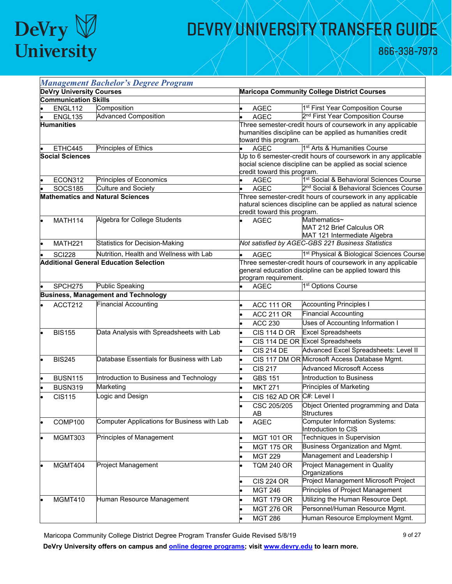

866-338-7973

|                                               | <b>Management Bachelor's Degree Program</b> |                                             |                                                    |                                                                                                                              |  |
|-----------------------------------------------|---------------------------------------------|---------------------------------------------|----------------------------------------------------|------------------------------------------------------------------------------------------------------------------------------|--|
| <b>DeVry University Courses</b>               |                                             |                                             | <b>Maricopa Community College District Courses</b> |                                                                                                                              |  |
|                                               | <b>Communication Skills</b>                 |                                             |                                                    |                                                                                                                              |  |
|                                               | ENGL112                                     | Composition                                 | <b>AGEC</b>                                        | 1 <sup>st</sup> First Year Composition Course                                                                                |  |
|                                               | ENGL135                                     | <b>Advanced Composition</b>                 | <b>AGEC</b>                                        | 2 <sup>nd</sup> First Year Composition Course                                                                                |  |
|                                               | <b>Humanities</b>                           |                                             | toward this program.                               | Three semester-credit hours of coursework in any applicable<br>humanities discipline can be applied as humanities credit     |  |
|                                               | ETHC445                                     | Principles of Ethics                        | <b>AGEC</b>                                        | 1 <sup>st</sup> Arts & Humanities Course                                                                                     |  |
|                                               | <b>Social Sciences</b>                      |                                             | credit toward this program.                        | Up to 6 semester-credit hours of coursework in any applicable<br>social science discipline can be applied as social science  |  |
|                                               | ECON312                                     | Principles of Economics                     | <b>AGEC</b>                                        | 1 <sup>st</sup> Social & Behavioral Sciences Course                                                                          |  |
|                                               | <b>SOCS185</b>                              | <b>Culture and Society</b>                  | <b>AGEC</b><br>$\bullet$                           | 2 <sup>nd</sup> Social & Behavioral Sciences Course                                                                          |  |
| <b>Mathematics and Natural Sciences</b>       |                                             |                                             | credit toward this program.                        | Three semester-credit hours of coursework in any applicable<br>natural sciences discipline can be applied as natural science |  |
|                                               | <b>MATH114</b>                              | Algebra for College Students                | <b>AGEC</b>                                        | Mathematics~<br>MAT 212 Brief Calculus OR<br>MAT 121 Intermediate Algebra                                                    |  |
|                                               | MATH221                                     | <b>Statistics for Decision-Making</b>       |                                                    | Not satisfied by AGEC-GBS 221 Business Statistics                                                                            |  |
|                                               | <b>SCI228</b>                               | Nutrition, Health and Wellness with Lab     | <b>AGEC</b>                                        | 1 <sup>st</sup> Physical & Biological Sciences Course                                                                        |  |
| <b>Additional General Education Selection</b> |                                             |                                             | program requirement.                               | Three semester-credit hours of coursework in any applicable<br>general education discipline can be applied toward this       |  |
|                                               | SPCH <sub>275</sub>                         | <b>Public Speaking</b>                      | <b>AGEC</b><br>$\bullet$                           | 1 <sup>st</sup> Options Course                                                                                               |  |
|                                               |                                             | <b>Business, Management and Technology</b>  |                                                    |                                                                                                                              |  |
|                                               | ACCT212                                     | <b>Financial Accounting</b>                 | <b>ACC 111 OR</b>                                  | <b>Accounting Principles I</b>                                                                                               |  |
|                                               |                                             |                                             | <b>ACC 211 OR</b>                                  | <b>Financial Accounting</b>                                                                                                  |  |
|                                               |                                             |                                             | <b>ACC 230</b>                                     | Uses of Accounting Information I                                                                                             |  |
|                                               | <b>BIS155</b>                               | Data Analysis with Spreadsheets with Lab    | <b>CIS 114 D OR</b>                                | <b>Excel Spreadsheets</b>                                                                                                    |  |
|                                               |                                             |                                             |                                                    | CIS 114 DE OR Excel Spreadsheets                                                                                             |  |
|                                               |                                             |                                             | <b>CIS 214 DE</b>                                  | Advanced Excel Spreadsheets: Level II                                                                                        |  |
|                                               | <b>BIS245</b>                               | Database Essentials for Business with Lab   |                                                    | CIS 117 DM OR Microsoft Access Database Mgmt.                                                                                |  |
|                                               |                                             |                                             | <b>CIS 217</b>                                     | <b>Advanced Microsoft Access</b>                                                                                             |  |
|                                               | <b>BUSN115</b>                              | Introduction to Business and Technology     | <b>GBS 151</b><br>$\bullet$                        | Introduction to Business                                                                                                     |  |
|                                               | <b>BUSN319</b>                              | Marketing                                   | <b>MKT 271</b>                                     | Principles of Marketing                                                                                                      |  |
|                                               | <b>CIS115</b>                               | Logic and Design                            | CIS 162 AD OR C#: Level I                          |                                                                                                                              |  |
|                                               |                                             |                                             | CSC 205/205<br>AB                                  | Object Oriented programming and Data<br><b>Structures</b>                                                                    |  |
|                                               | COMP100                                     | Computer Applications for Business with Lab | <b>AGEC</b>                                        | <b>Computer Information Systems:</b><br>Introduction to CIS                                                                  |  |
|                                               | MGMT303                                     | Principles of Management                    | <b>MGT 101 OR</b>                                  | Techniques in Supervision                                                                                                    |  |
|                                               |                                             |                                             | <b>MGT 175 OR</b>                                  | Business Organization and Mgmt.                                                                                              |  |
|                                               |                                             |                                             | <b>MGT 229</b>                                     | Management and Leadership I                                                                                                  |  |
|                                               | MGMT404                                     | Project Management                          | <b>TQM 240 OR</b>                                  | Project Management in Quality<br>Organizations                                                                               |  |
|                                               |                                             |                                             | <b>CIS 224 OR</b>                                  | Project Management Microsoft Project                                                                                         |  |
|                                               |                                             |                                             | <b>MGT 246</b>                                     | Principles of Project Management                                                                                             |  |
|                                               | MGMT410                                     | Human Resource Management                   | <b>MGT 179 OR</b>                                  | Utilizing the Human Resource Dept.                                                                                           |  |
|                                               |                                             |                                             | <b>MGT 276 OR</b>                                  | Personnel/Human Resource Mgmt.                                                                                               |  |
|                                               |                                             |                                             | <b>MGT 286</b>                                     | Human Resource Employment Mgmt.                                                                                              |  |

Maricopa Community College District Degree Program Transfer Guide Revised 5/8/19 9 0127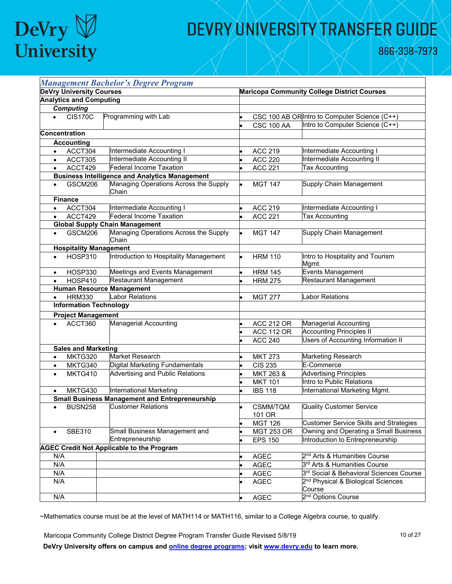# DeVry  $\bigtriangledown$  University

## DEVRY UNIVERSITY TRANSFER GUIDE

866-338-7973

| <b>Management Bachelor's Degree Program</b> |                                 |                                                                    |  |                                                    |                                                            |  |
|---------------------------------------------|---------------------------------|--------------------------------------------------------------------|--|----------------------------------------------------|------------------------------------------------------------|--|
|                                             | <b>DeVry University Courses</b> |                                                                    |  | <b>Maricopa Community College District Courses</b> |                                                            |  |
|                                             | <b>Analytics and Computing</b>  |                                                                    |  |                                                    |                                                            |  |
|                                             | <b>Computing</b>                |                                                                    |  |                                                    |                                                            |  |
| $\bullet$                                   | <b>CIS170C</b>                  | Programming with Lab                                               |  |                                                    | CSC 100 AB ORIntro to Computer Science (C++)               |  |
|                                             |                                 |                                                                    |  | <b>CSC 100 AA</b>                                  | Intro to Computer Science (C++)                            |  |
|                                             | Concentration                   |                                                                    |  |                                                    |                                                            |  |
|                                             | <b>Accounting</b>               |                                                                    |  |                                                    |                                                            |  |
| $\bullet$                                   | ACCT304                         | Intermediate Accounting I                                          |  | <b>ACC 219</b>                                     | Intermediate Accounting I                                  |  |
|                                             | ACCT305                         | Intermediate Accounting II                                         |  | <b>ACC 220</b>                                     | Intermediate Accounting II                                 |  |
| $\bullet$                                   | ACCT429                         | <b>Federal Income Taxation</b>                                     |  | <b>ACC 221</b>                                     | <b>Tax Accounting</b>                                      |  |
|                                             |                                 | <b>Business Intelligence and Analytics Management</b>              |  |                                                    |                                                            |  |
|                                             | GSCM206                         | Managing Operations Across the Supply<br>Chain                     |  | <b>MGT 147</b>                                     | Supply Chain Management                                    |  |
|                                             | <b>Finance</b>                  |                                                                    |  |                                                    |                                                            |  |
| $\bullet$                                   | ACCT304                         | Intermediate Accounting I                                          |  | <b>ACC 219</b>                                     | Intermediate Accounting I                                  |  |
| $\bullet$                                   | ACCT429                         | Federal Income Taxation                                            |  | <b>ACC 221</b>                                     | <b>Tax Accounting</b>                                      |  |
|                                             |                                 | <b>Global Supply Chain Management</b>                              |  |                                                    |                                                            |  |
| $\bullet$                                   | GSCM206                         | Managing Operations Across the Supply<br>Chain                     |  | <b>MGT 147</b>                                     | Supply Chain Management                                    |  |
|                                             | <b>Hospitality Management</b>   |                                                                    |  |                                                    |                                                            |  |
|                                             | <b>HOSP310</b>                  | Introduction to Hospitality Management                             |  | <b>HRM 110</b>                                     | Intro to Hospitality and Tourism<br>Mgmt.                  |  |
| $\bullet$                                   | HOSP330                         | Meetings and Events Management                                     |  | <b>HRM 145</b>                                     | <b>Events Management</b>                                   |  |
|                                             | <b>HOSP410</b>                  | Restaurant Management                                              |  | <b>HRM 275</b>                                     | Restaurant Management                                      |  |
|                                             |                                 | <b>Human Resource Management</b>                                   |  |                                                    |                                                            |  |
| $\bullet$                                   | <b>HRM330</b>                   | <b>Labor Relations</b>                                             |  | <b>MGT 277</b>                                     | Labor Relations                                            |  |
|                                             | <b>Information Technology</b>   |                                                                    |  |                                                    |                                                            |  |
|                                             | <b>Project Management</b>       |                                                                    |  |                                                    |                                                            |  |
|                                             | ACCT360                         | <b>Managerial Accounting</b>                                       |  | <b>ACC 212 OR</b>                                  | <b>Managerial Accounting</b>                               |  |
|                                             |                                 |                                                                    |  | <b>ACC 112 OR</b>                                  | <b>Accounting Principles II</b>                            |  |
|                                             |                                 |                                                                    |  | <b>ACC 240</b>                                     | Users of Accounting Information II                         |  |
|                                             | <b>Sales and Marketing</b>      | Market Research                                                    |  |                                                    |                                                            |  |
| $\bullet$                                   | MKTG320                         |                                                                    |  | <b>MKT 273</b>                                     | Marketing Research<br>E-Commerce                           |  |
| $\bullet$                                   | MKTG340<br>MKTG410              | Digital Marketing Fundamentals<br>Advertising and Public Relations |  | <b>CIS 235</b><br>MKT 263 &                        |                                                            |  |
| $\bullet$                                   |                                 |                                                                    |  |                                                    | <b>Advertising Principles</b><br>Intro to Public Relations |  |
|                                             | MKTG430                         | International Marketing                                            |  | <b>MKT 101</b>                                     | International Marketing Mgmt.                              |  |
|                                             |                                 | <b>Small Business Management and Entrepreneurship</b>              |  | <b>IBS 118</b>                                     |                                                            |  |
|                                             | <b>BUSN258</b>                  | <b>Customer Relations</b>                                          |  | CSMM/TQM<br>101 OR                                 | <b>Quality Customer Service</b>                            |  |
|                                             |                                 |                                                                    |  | <b>MGT 126</b>                                     | <b>Customer Service Skills and Strategies</b>              |  |
| $\bullet$                                   | <b>SBE310</b>                   | Small Business Management and                                      |  | <b>MGT 253 OR</b>                                  | Owning and Operating a Small Business                      |  |
|                                             |                                 | Entrepreneurship                                                   |  | <b>EPS 150</b>                                     | Introduction to Entrepreneurship                           |  |
|                                             |                                 | <b>AGEC Credit Not Applicable to the Program</b>                   |  |                                                    |                                                            |  |
| N/A                                         |                                 |                                                                    |  | <b>AGEC</b>                                        | 2 <sup>nd</sup> Arts & Humanities Course                   |  |
| N/A                                         |                                 |                                                                    |  | AGEC                                               | 3 <sup>rd</sup> Arts & Humanities Course                   |  |
| N/A                                         |                                 |                                                                    |  | <b>AGEC</b>                                        | 3rd Social & Behavioral Sciences Course                    |  |
| N/A                                         |                                 |                                                                    |  | <b>AGEC</b>                                        | 2 <sup>nd</sup> Physical & Biological Sciences<br>Course   |  |
| N/A                                         |                                 |                                                                    |  | <b>AGEC</b>                                        | 2 <sup>nd</sup> Options Course                             |  |

~Mathematics course must be at the level of MATH114 or MATH116, similar to a College Algebra course, to qualify.

Maricopa Community College District Degree Program Transfer Guide Revised 5/8/19 10 1 10 0f 27 **DeVry University offers on campus and [online degree programs;](https://www.devry.edu/online-education/online-degree-programs.html) visit [www.devry.edu](http://www.devry.edu/) to learn more.**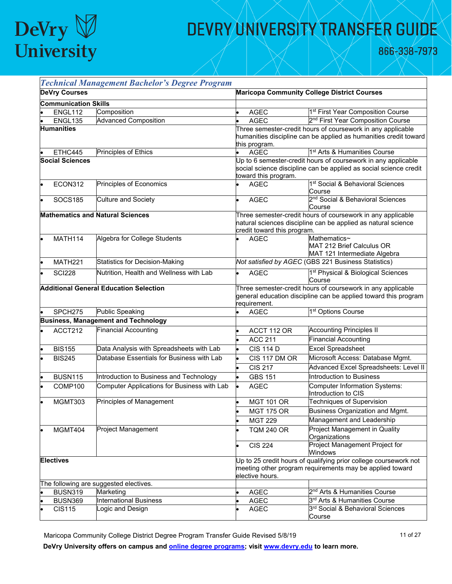

866-338-7973

|                                         |                             | <b>Technical Management Bachelor's Degree Program</b> |                                                                                                                                                 |                                                                                                                                                            |                                                                                                                                 |  |
|-----------------------------------------|-----------------------------|-------------------------------------------------------|-------------------------------------------------------------------------------------------------------------------------------------------------|------------------------------------------------------------------------------------------------------------------------------------------------------------|---------------------------------------------------------------------------------------------------------------------------------|--|
|                                         | <b>DeVry Courses</b>        |                                                       |                                                                                                                                                 |                                                                                                                                                            | <b>Maricopa Community College District Courses</b>                                                                              |  |
|                                         | <b>Communication Skills</b> |                                                       |                                                                                                                                                 |                                                                                                                                                            |                                                                                                                                 |  |
|                                         | ENGL112                     | Composition                                           |                                                                                                                                                 | <b>AGEC</b>                                                                                                                                                | 1st First Year Composition Course                                                                                               |  |
|                                         | ENGL135                     | <b>Advanced Composition</b>                           |                                                                                                                                                 | <b>AGEC</b>                                                                                                                                                | 2 <sup>nd</sup> First Year Composition Course                                                                                   |  |
|                                         | <b>Humanities</b>           |                                                       |                                                                                                                                                 | this program.                                                                                                                                              | Three semester-credit hours of coursework in any applicable<br>humanities discipline can be applied as humanities credit toward |  |
|                                         | ETHC445                     | Principles of Ethics                                  |                                                                                                                                                 | <b>AGEC</b>                                                                                                                                                | 1 <sup>st</sup> Arts & Humanities Course                                                                                        |  |
|                                         | <b>Social Sciences</b>      |                                                       |                                                                                                                                                 | Up to 6 semester-credit hours of coursework in any applicable<br>social science discipline can be applied as social science credit<br>toward this program. |                                                                                                                                 |  |
|                                         | ECON312                     | Principles of Economics                               |                                                                                                                                                 | <b>AGEC</b>                                                                                                                                                | 1st Social & Behavioral Sciences<br>Course                                                                                      |  |
|                                         | <b>SOCS185</b>              | <b>Culture and Society</b>                            |                                                                                                                                                 | <b>AGEC</b>                                                                                                                                                | 2 <sup>nd</sup> Social & Behavioral Sciences<br>Course                                                                          |  |
| <b>Mathematics and Natural Sciences</b> |                             |                                                       |                                                                                                                                                 | credit toward this program.                                                                                                                                | Three semester-credit hours of coursework in any applicable<br>natural sciences discipline can be applied as natural science    |  |
|                                         | <b>MATH114</b>              | Algebra for College Students                          |                                                                                                                                                 | <b>AGEC</b>                                                                                                                                                | Mathematics~<br>MAT 212 Brief Calculus OR<br>MAT 121 Intermediate Algebra                                                       |  |
|                                         | MATH221                     | <b>Statistics for Decision-Making</b>                 |                                                                                                                                                 |                                                                                                                                                            | Not satisfied by AGEC (GBS 221 Business Statistics)                                                                             |  |
|                                         | <b>SCI228</b>               | Nutrition, Health and Wellness with Lab               |                                                                                                                                                 | <b>AGEC</b>                                                                                                                                                | 1 <sup>st</sup> Physical & Biological Sciences<br>Course                                                                        |  |
|                                         |                             | <b>Additional General Education Selection</b>         |                                                                                                                                                 | requirement.                                                                                                                                               | Three semester-credit hours of coursework in any applicable<br>general education discipline can be applied toward this program  |  |
|                                         | SPCH <sub>275</sub>         | <b>Public Speaking</b>                                |                                                                                                                                                 | <b>AGEC</b>                                                                                                                                                | 1 <sup>st</sup> Options Course                                                                                                  |  |
|                                         |                             | <b>Business, Management and Technology</b>            |                                                                                                                                                 |                                                                                                                                                            |                                                                                                                                 |  |
|                                         | ACCT212                     | <b>Financial Accounting</b>                           |                                                                                                                                                 | ACCT 112 OR                                                                                                                                                | <b>Accounting Principles II</b>                                                                                                 |  |
|                                         |                             |                                                       |                                                                                                                                                 | <b>ACC 211</b>                                                                                                                                             | <b>Financial Accounting</b>                                                                                                     |  |
|                                         | <b>BIS155</b>               | Data Analysis with Spreadsheets with Lab              |                                                                                                                                                 | <b>CIS 114 D</b>                                                                                                                                           | <b>Excel Spreadsheet</b>                                                                                                        |  |
|                                         | <b>BIS245</b>               | Database Essentials for Business with Lab             |                                                                                                                                                 | CIS 117 DM OR                                                                                                                                              | Microsoft Access: Database Mgmt.                                                                                                |  |
|                                         |                             |                                                       |                                                                                                                                                 | <b>CIS 217</b>                                                                                                                                             | Advanced Excel Spreadsheets: Level II                                                                                           |  |
|                                         | <b>BUSN115</b>              | Introduction to Business and Technology               |                                                                                                                                                 | <b>GBS 151</b>                                                                                                                                             | Introduction to Business                                                                                                        |  |
|                                         | COMP100                     | Computer Applications for Business with Lab           |                                                                                                                                                 | <b>AGEC</b>                                                                                                                                                | Computer Information Systems:<br>Introduction to CIS                                                                            |  |
|                                         | MGMT303                     | Principles of Management                              |                                                                                                                                                 | <b>MGT 101 OR</b>                                                                                                                                          | <b>Techniques of Supervision</b>                                                                                                |  |
|                                         |                             |                                                       |                                                                                                                                                 | <b>MGT 175 OR</b>                                                                                                                                          | Business Organization and Mgmt.                                                                                                 |  |
|                                         |                             |                                                       |                                                                                                                                                 | <b>MGT 229</b>                                                                                                                                             | Management and Leadership                                                                                                       |  |
|                                         | MGMT404                     | <b>Project Management</b>                             |                                                                                                                                                 | <b>TQM 240 OR</b>                                                                                                                                          | Project Management in Quality<br>Organizations                                                                                  |  |
|                                         |                             |                                                       |                                                                                                                                                 | <b>CIS 224</b>                                                                                                                                             | Project Management Project for<br>Windows                                                                                       |  |
|                                         | <b>Electives</b>            |                                                       | Up to 25 credit hours of qualifying prior college coursework not<br>meeting other program requirements may be applied toward<br>elective hours. |                                                                                                                                                            |                                                                                                                                 |  |
|                                         |                             | The following are suggested electives.                |                                                                                                                                                 |                                                                                                                                                            |                                                                                                                                 |  |
|                                         | <b>BUSN319</b>              | Marketing                                             |                                                                                                                                                 | AGEC                                                                                                                                                       | 2 <sup>nd</sup> Arts & Humanities Course                                                                                        |  |
|                                         | <b>BUSN369</b>              | International Business                                |                                                                                                                                                 | AGEC                                                                                                                                                       | 3 <sup>rd</sup> Arts & Humanities Course                                                                                        |  |
|                                         | <b>CIS115</b>               | ogic and Design                                       |                                                                                                                                                 | <b>AGEC</b>                                                                                                                                                | 3 <sup>rd</sup> Social & Behavioral Sciences<br>Course                                                                          |  |

Maricopa Community College District Degree Program Transfer Guide Revised 5/8/19 11 of 27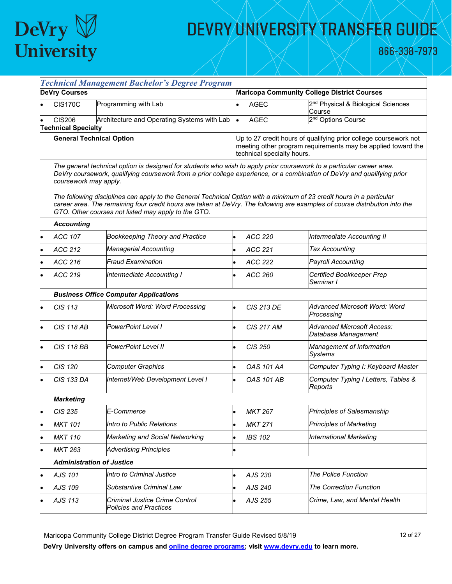

866-338-7973

| <b>Technical Management Bachelor's Degree Program</b> |                                                                                                                                                                                                                                                                           |                                                                                                                                                                                                                                                                                                             |  |                            |                                                                                                                                  |  |  |
|-------------------------------------------------------|---------------------------------------------------------------------------------------------------------------------------------------------------------------------------------------------------------------------------------------------------------------------------|-------------------------------------------------------------------------------------------------------------------------------------------------------------------------------------------------------------------------------------------------------------------------------------------------------------|--|----------------------------|----------------------------------------------------------------------------------------------------------------------------------|--|--|
|                                                       | <b>DeVry Courses</b>                                                                                                                                                                                                                                                      |                                                                                                                                                                                                                                                                                                             |  |                            | <b>Maricopa Community College District Courses</b>                                                                               |  |  |
|                                                       | <b>CIS170C</b>                                                                                                                                                                                                                                                            | Programming with Lab                                                                                                                                                                                                                                                                                        |  | <b>AGEC</b>                | 2 <sup>nd</sup> Physical & Biological Sciences<br>Course                                                                         |  |  |
|                                                       | <b>CIS206</b>                                                                                                                                                                                                                                                             | Architecture and Operating Systems with Lab                                                                                                                                                                                                                                                                 |  | <b>AGEC</b>                | 2 <sup>nd</sup> Options Course                                                                                                   |  |  |
|                                                       | <b>Technical Specialty</b>                                                                                                                                                                                                                                                |                                                                                                                                                                                                                                                                                                             |  |                            |                                                                                                                                  |  |  |
|                                                       | <b>General Technical Option</b>                                                                                                                                                                                                                                           |                                                                                                                                                                                                                                                                                                             |  | technical specialty hours. | Up to 27 credit hours of qualifying prior college coursework not<br>meeting other program requirements may be applied toward the |  |  |
|                                                       | The general technical option is designed for students who wish to apply prior coursework to a particular career area.<br>DeVry coursework, qualifying coursework from a prior college experience, or a combination of DeVry and qualifying prior<br>coursework may apply. |                                                                                                                                                                                                                                                                                                             |  |                            |                                                                                                                                  |  |  |
|                                                       |                                                                                                                                                                                                                                                                           | The following disciplines can apply to the General Technical Option with a minimum of 23 credit hours in a particular<br>career area. The remaining four credit hours are taken at DeVry. The following are examples of course distribution into the<br>GTO. Other courses not listed may apply to the GTO. |  |                            |                                                                                                                                  |  |  |
|                                                       | <b>Accounting</b>                                                                                                                                                                                                                                                         |                                                                                                                                                                                                                                                                                                             |  |                            |                                                                                                                                  |  |  |
|                                                       | ACC 107                                                                                                                                                                                                                                                                   | <b>Bookkeeping Theory and Practice</b>                                                                                                                                                                                                                                                                      |  | ACC 220                    | Intermediate Accounting II                                                                                                       |  |  |
|                                                       | ACC 212                                                                                                                                                                                                                                                                   | <b>Managerial Accounting</b>                                                                                                                                                                                                                                                                                |  | ACC 221                    | <b>Tax Accounting</b>                                                                                                            |  |  |
|                                                       | ACC 216                                                                                                                                                                                                                                                                   | <b>Fraud Examination</b>                                                                                                                                                                                                                                                                                    |  | ACC 222                    | <b>Payroll Accounting</b>                                                                                                        |  |  |
|                                                       | ACC 219                                                                                                                                                                                                                                                                   | Intermediate Accounting I                                                                                                                                                                                                                                                                                   |  | ACC 260                    | Certified Bookkeeper Prep<br>Seminar I                                                                                           |  |  |
|                                                       |                                                                                                                                                                                                                                                                           | <b>Business Office Computer Applications</b>                                                                                                                                                                                                                                                                |  |                            |                                                                                                                                  |  |  |
|                                                       | CIS 113                                                                                                                                                                                                                                                                   | Microsoft Word: Word Processing                                                                                                                                                                                                                                                                             |  | <b>CIS 213 DE</b>          | Advanced Microsoft Word: Word<br>Processing                                                                                      |  |  |
|                                                       | <b>CIS 118 AB</b>                                                                                                                                                                                                                                                         | <b>PowerPoint Level I</b>                                                                                                                                                                                                                                                                                   |  | <b>CIS 217 AM</b>          | <b>Advanced Microsoft Access:</b><br>Database Management                                                                         |  |  |
|                                                       | <b>CIS 118 BB</b>                                                                                                                                                                                                                                                         | <b>PowerPoint Level II</b>                                                                                                                                                                                                                                                                                  |  | CIS 250                    | Management of Information<br><b>Systems</b>                                                                                      |  |  |
|                                                       | CIS 120                                                                                                                                                                                                                                                                   | <b>Computer Graphics</b>                                                                                                                                                                                                                                                                                    |  | <b>OAS 101 AA</b>          | Computer Typing I: Keyboard Master                                                                                               |  |  |
|                                                       | <b>CIS 133 DA</b>                                                                                                                                                                                                                                                         | Internet/Web Development Level I                                                                                                                                                                                                                                                                            |  | <b>OAS 101 AB</b>          | Computer Typing I Letters, Tables &<br>Reports                                                                                   |  |  |
|                                                       | <b>Marketing</b>                                                                                                                                                                                                                                                          |                                                                                                                                                                                                                                                                                                             |  |                            |                                                                                                                                  |  |  |
|                                                       | CIS 235                                                                                                                                                                                                                                                                   | E-Commerce                                                                                                                                                                                                                                                                                                  |  | <b>MKT 267</b>             | Principles of Salesmanship                                                                                                       |  |  |
|                                                       | <b>MKT 101</b>                                                                                                                                                                                                                                                            | Intro to Public Relations                                                                                                                                                                                                                                                                                   |  | <b>MKT 271</b>             | <b>Principles of Marketing</b>                                                                                                   |  |  |
|                                                       | <b>MKT 110</b>                                                                                                                                                                                                                                                            | Marketing and Social Networking                                                                                                                                                                                                                                                                             |  | <b>IBS 102</b>             | International Marketing                                                                                                          |  |  |
|                                                       | <b>MKT 263</b>                                                                                                                                                                                                                                                            | <b>Advertising Principles</b>                                                                                                                                                                                                                                                                               |  |                            |                                                                                                                                  |  |  |
|                                                       | <b>Administration of Justice</b>                                                                                                                                                                                                                                          |                                                                                                                                                                                                                                                                                                             |  |                            |                                                                                                                                  |  |  |
|                                                       | AJS 101                                                                                                                                                                                                                                                                   | Intro to Criminal Justice                                                                                                                                                                                                                                                                                   |  | AJS 230                    | <b>The Police Function</b>                                                                                                       |  |  |
|                                                       | AJS 109                                                                                                                                                                                                                                                                   | Substantive Criminal Law                                                                                                                                                                                                                                                                                    |  | AJS 240                    | <b>The Correction Function</b>                                                                                                   |  |  |
|                                                       | AJS 113                                                                                                                                                                                                                                                                   | Criminal Justice Crime Control<br><b>Policies and Practices</b>                                                                                                                                                                                                                                             |  | AJS 255                    | Crime, Law, and Mental Health                                                                                                    |  |  |

Maricopa Community College District Degree Program Transfer Guide Revised 5/8/19 12 12 12 0f 27 **DeVry University offers on campus and [online degree programs;](https://www.devry.edu/online-education/online-degree-programs.html) visi[t www.devry.edu](http://www.devry.edu/) to learn more.**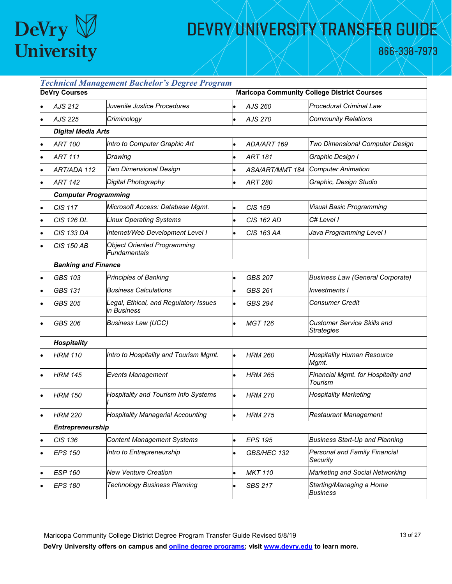

866-338-7973

| <b>DeVry Courses</b>        | <b>Technical Management Bachelor's Degree Program</b> |                        | <b>Maricopa Community College District Courses</b>      |
|-----------------------------|-------------------------------------------------------|------------------------|---------------------------------------------------------|
|                             |                                                       |                        |                                                         |
| AJS 212                     | Juvenile Justice Procedures                           | AJS 260                | <b>Procedural Criminal Law</b>                          |
| AJS 225                     | Criminology                                           | AJS 270                | <b>Community Relations</b>                              |
| <b>Digital Media Arts</b>   |                                                       |                        |                                                         |
| <b>ART 100</b>              | Intro to Computer Graphic Art                         | ADA/ART 169            | Two Dimensional Computer Design                         |
| <b>ART 111</b>              | Drawing                                               | <b>ART 181</b>         | Graphic Design I                                        |
| ART/ADA 112                 | Two Dimensional Design                                | <b>ASA/ART/MMT 184</b> | <b>Computer Animation</b>                               |
| <b>ART 142</b>              | Digital Photography                                   | <b>ART 280</b>         | Graphic, Design Studio                                  |
| <b>Computer Programming</b> |                                                       |                        |                                                         |
| CIS 117                     | Microsoft Access: Database Mgmt.                      | CIS 159                | Visual Basic Programming                                |
| <b>CIS 126 DL</b>           | <b>Linux Operating Systems</b>                        | CIS 162 AD             | C# Level I                                              |
| <b>CIS 133 DA</b>           | Internet/Web Development Level I                      | CIS 163 AA             | Java Programming Level I                                |
| <b>CIS 150 AB</b>           | <b>Object Oriented Programming</b><br>Fundamentals    |                        |                                                         |
| <b>Banking and Finance</b>  |                                                       |                        |                                                         |
| <b>GBS 103</b>              | <b>Principles of Banking</b>                          | <b>GBS 207</b>         | <b>Business Law (General Corporate)</b>                 |
| <b>GBS 131</b>              | <b>Business Calculations</b>                          | GBS 261                | Investments I                                           |
| <b>GBS 205</b>              | Legal, Ethical, and Regulatory Issues<br>in Business  | <b>GBS 294</b>         | <b>Consumer Credit</b>                                  |
| GBS 206                     | <b>Business Law (UCC)</b>                             | <b>MGT 126</b>         | <b>Customer Service Skills and</b><br><b>Strategies</b> |
| <b>Hospitality</b>          |                                                       |                        |                                                         |
| <b>HRM 110</b>              | Intro to Hospitality and Tourism Mgmt.                | <b>HRM 260</b>         | <b>Hospitality Human Resource</b><br>Mgmt.              |
| <b>HRM 145</b>              | <b>Events Management</b>                              | <b>HRM 265</b>         | Financial Mgmt. for Hospitality and<br>Tourism          |
| <b>HRM 150</b>              | <b>Hospitality and Tourism Info Systems</b>           | <b>HRM 270</b>         | <b>Hospitality Marketing</b>                            |
| <b>HRM 220</b>              | <b>Hospitality Managerial Accounting</b>              | <b>HRM 275</b>         | <b>Restaurant Management</b>                            |
| Entrepreneurship            |                                                       |                        |                                                         |
| CIS 136                     | <b>Content Management Systems</b>                     | <b>EPS 195</b>         | <b>Business Start-Up and Planning</b>                   |
| <b>EPS 150</b>              | Intro to Entrepreneurship                             | GBS/HEC 132            | Personal and Family Financial<br>Security               |
| <b>ESP 160</b>              | <b>New Venture Creation</b>                           | <b>MKT 110</b>         | Marketing and Social Networking                         |
| <b>EPS 180</b>              | <b>Technology Business Planning</b>                   | <b>SBS 217</b>         | Starting/Managing a Home<br>Business                    |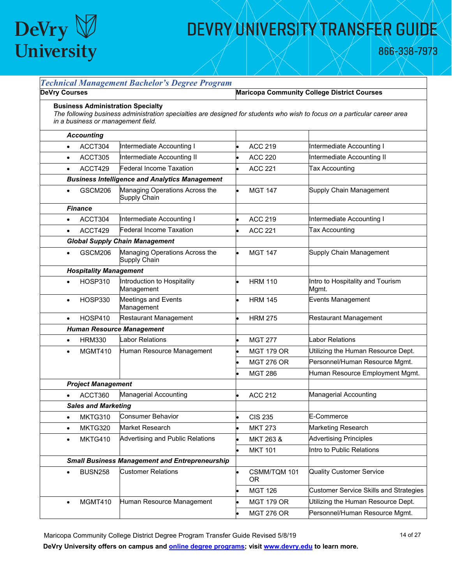

866-338-7973

| <b>DeVry Courses</b>                                                                                                                                                                                        |                                                       |                    | <b>Maricopa Community College District Courses</b> |  |
|-------------------------------------------------------------------------------------------------------------------------------------------------------------------------------------------------------------|-------------------------------------------------------|--------------------|----------------------------------------------------|--|
| <b>Business Administration Specialty</b><br>The following business administration specialties are designed for students who wish to focus on a particular career area<br>in a business or management field. |                                                       |                    |                                                    |  |
| <b>Accounting</b>                                                                                                                                                                                           |                                                       |                    |                                                    |  |
| ACCT304<br>$\bullet$                                                                                                                                                                                        | Intermediate Accounting I                             | <b>ACC 219</b>     | Intermediate Accounting I                          |  |
| ACCT305<br>$\bullet$                                                                                                                                                                                        | Intermediate Accounting II                            | <b>ACC 220</b>     | Intermediate Accounting II                         |  |
| ACCT429<br>$\bullet$                                                                                                                                                                                        | Federal Income Taxation                               | <b>ACC 221</b>     | Tax Accounting                                     |  |
|                                                                                                                                                                                                             | <b>Business Intelligence and Analytics Management</b> |                    |                                                    |  |
| <b>GSCM206</b><br>$\bullet$                                                                                                                                                                                 | Managing Operations Across the<br>Supply Chain        | <b>MGT 147</b>     | Supply Chain Management                            |  |
| <b>Finance</b>                                                                                                                                                                                              |                                                       |                    |                                                    |  |
| ACCT304<br>$\bullet$                                                                                                                                                                                        | Intermediate Accounting I                             | <b>ACC 219</b>     | Intermediate Accounting I                          |  |
| ACCT429<br>$\bullet$                                                                                                                                                                                        | Federal Income Taxation                               | <b>ACC 221</b>     | <b>Tax Accounting</b>                              |  |
|                                                                                                                                                                                                             | <b>Global Supply Chain Management</b>                 |                    |                                                    |  |
| <b>GSCM206</b><br>$\bullet$                                                                                                                                                                                 | Managing Operations Across the<br><b>Supply Chain</b> | <b>MGT 147</b>     | Supply Chain Management                            |  |
| <b>Hospitality Management</b>                                                                                                                                                                               |                                                       |                    |                                                    |  |
| <b>HOSP310</b><br>$\bullet$                                                                                                                                                                                 | Introduction to Hospitality<br>Management             | <b>HRM 110</b>     | Intro to Hospitality and Tourism<br>Mgmt.          |  |
| <b>HOSP330</b><br>$\bullet$                                                                                                                                                                                 | <b>Meetings and Events</b><br>Management              | <b>HRM 145</b>     | <b>Events Management</b>                           |  |
| <b>HOSP410</b><br>$\bullet$                                                                                                                                                                                 | <b>Restaurant Management</b>                          | <b>HRM 275</b>     | Restaurant Management                              |  |
|                                                                                                                                                                                                             | <b>Human Resource Management</b>                      |                    |                                                    |  |
| <b>HRM330</b><br>$\bullet$                                                                                                                                                                                  | <b>Labor Relations</b>                                | <b>MGT 277</b>     | abor Relations                                     |  |
| MGMT410<br>$\bullet$                                                                                                                                                                                        | Human Resource Management                             | <b>MGT 179 OR</b>  | Utilizing the Human Resource Dept.                 |  |
|                                                                                                                                                                                                             |                                                       | <b>MGT 276 OR</b>  | Personnel/Human Resource Mgmt.                     |  |
|                                                                                                                                                                                                             |                                                       | <b>MGT 286</b>     | Human Resource Employment Mgmt.                    |  |
| <b>Project Management</b>                                                                                                                                                                                   |                                                       |                    |                                                    |  |
| ACCT360                                                                                                                                                                                                     | <b>Managerial Accounting</b>                          | <b>ACC 212</b>     | Managerial Accounting                              |  |
| <b>Sales and Marketing</b>                                                                                                                                                                                  |                                                       |                    |                                                    |  |
| MKTG310<br>$\bullet$                                                                                                                                                                                        | <b>Consumer Behavior</b>                              | <b>CIS 235</b>     | E-Commerce                                         |  |
| MKTG320<br>$\bullet$                                                                                                                                                                                        | Market Research                                       | <b>MKT 273</b>     | Marketing Research                                 |  |
| MKTG410<br>$\bullet$                                                                                                                                                                                        | Advertising and Public Relations                      | MKT 263 &          | <b>Advertising Principles</b>                      |  |
|                                                                                                                                                                                                             |                                                       | <b>MKT 101</b>     | Intro to Public Relations                          |  |
|                                                                                                                                                                                                             | <b>Small Business Management and Entrepreneurship</b> |                    |                                                    |  |
| <b>BUSN258</b><br>$\bullet$                                                                                                                                                                                 | <b>Customer Relations</b>                             | CSMM/TQM 101<br>0R | <b>Quality Customer Service</b>                    |  |
|                                                                                                                                                                                                             |                                                       | <b>MGT 126</b>     | <b>Customer Service Skills and Strategies</b>      |  |
| MGMT410<br>$\bullet$                                                                                                                                                                                        | Human Resource Management                             | <b>MGT 179 OR</b>  | Utilizing the Human Resource Dept.                 |  |
|                                                                                                                                                                                                             |                                                       | <b>MGT 276 OR</b>  | Personnel/Human Resource Mgmt.                     |  |

Maricopa Community College District Degree Program Transfer Guide Revised 5/8/19 14 01 14 of 27 **DeVry University offers on campus and [online degree programs;](https://www.devry.edu/online-education/online-degree-programs.html) visit [www.devry.edu](http://www.devry.edu/) to learn more.**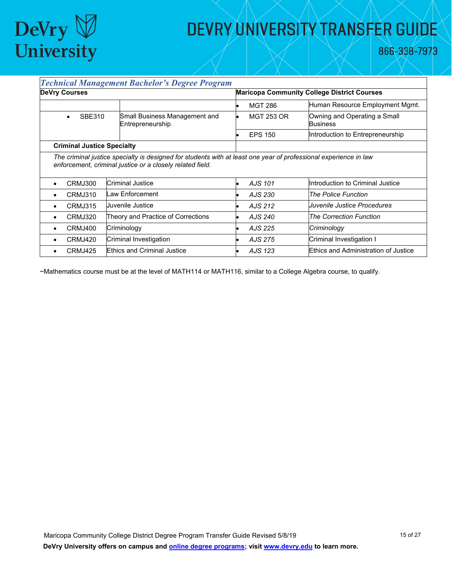

866-338-7973

|                                   | <b>Technical Management Bachelor's Degree Program</b>                         |  |                                                    |                                                 |  |  |
|-----------------------------------|-------------------------------------------------------------------------------|--|----------------------------------------------------|-------------------------------------------------|--|--|
| <b>DeVry Courses</b>              |                                                                               |  | <b>Maricopa Community College District Courses</b> |                                                 |  |  |
|                                   |                                                                               |  | <b>MGT 286</b>                                     | Human Resource Employment Mgmt.                 |  |  |
| <b>SBE310</b><br>$\bullet$        | Small Business Management and<br>Entrepreneurship                             |  | <b>MGT 253 OR</b>                                  | Owning and Operating a Small<br><b>Business</b> |  |  |
|                                   |                                                                               |  | <b>EPS 150</b>                                     | Introduction to Entrepreneurship                |  |  |
| <b>Criminal Justice Specialty</b> |                                                                               |  |                                                    |                                                 |  |  |
| CRMJ300                           | enforcement, criminal justice or a closely related field.<br>Criminal Justice |  | AJS 101                                            | Introduction to Criminal Justice                |  |  |
| CRMJ310<br>٠                      | Law Enforcement                                                               |  | AJS 230                                            | <b>The Police Function</b>                      |  |  |
| CRMJ315<br>٠                      | Uuvenile Justice                                                              |  | AJS 212                                            | Juvenile Justice Procedures                     |  |  |
| CRMJ320                           | Theory and Practice of Corrections                                            |  | AJS 240                                            | <b>The Correction Function</b>                  |  |  |
| CRMJ400                           | Criminology                                                                   |  | AJS 225                                            | Criminology                                     |  |  |
| CRMJ420<br>٠                      | Criminal Investigation                                                        |  | AJS 275                                            | Criminal Investigation I                        |  |  |
| CRMJ425                           | <b>Ethics and Criminal Justice</b>                                            |  | AJS 123                                            | <b>Ethics and Administration of Justice</b>     |  |  |

~Mathematics course must be at the level of MATH114 or MATH116, similar to a College Algebra course, to qualify.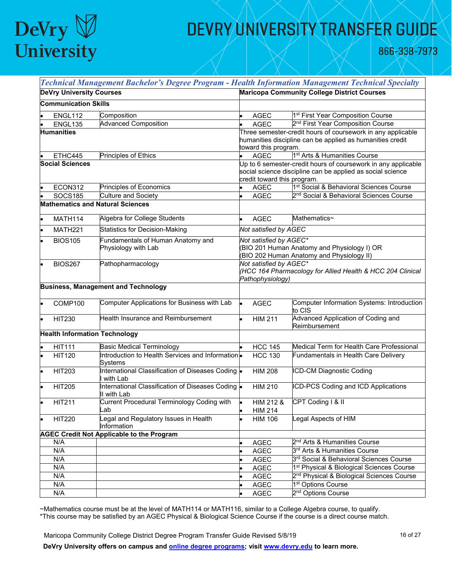## DeVry V<br>University

## DEVRY UNIVERSITY TRANSFER GUIDE

866-338-7973

|                                      | Technical Management Bachelor's Degree Program - Health Information Management Technical Specialty |                                                    |                                     |                                                               |  |
|--------------------------------------|----------------------------------------------------------------------------------------------------|----------------------------------------------------|-------------------------------------|---------------------------------------------------------------|--|
| <b>DeVry University Courses</b>      |                                                                                                    | <b>Maricopa Community College District Courses</b> |                                     |                                                               |  |
| <b>Communication Skills</b>          |                                                                                                    |                                                    |                                     |                                                               |  |
| ENGL112                              | Composition                                                                                        |                                                    | <b>AGEC</b>                         | 1 <sup>st</sup> First Year Composition Course                 |  |
| ENGL135                              | <b>Advanced Composition</b>                                                                        |                                                    | <b>AGEC</b>                         | 2 <sup>nd</sup> First Year Composition Course                 |  |
| <b>Humanities</b>                    |                                                                                                    |                                                    |                                     | Three semester-credit hours of coursework in any applicable   |  |
|                                      |                                                                                                    |                                                    |                                     | humanities discipline can be applied as humanities credit     |  |
| ETHC445                              | Principles of Ethics                                                                               |                                                    | toward this program.<br><b>AGEC</b> | 1 <sup>st</sup> Arts & Humanities Course                      |  |
| <b>Social Sciences</b>               |                                                                                                    |                                                    |                                     | Jp to 6 semester-credit hours of coursework in any applicable |  |
|                                      |                                                                                                    |                                                    |                                     | social science discipline can be applied as social science    |  |
|                                      |                                                                                                    |                                                    | credit toward this program.         |                                                               |  |
| ECON312                              | Principles of Economics                                                                            |                                                    | <b>AGEC</b>                         | 1 <sup>st</sup> Social & Behavioral Sciences Course           |  |
| <b>SOCS185</b>                       | Culture and Society                                                                                |                                                    | AGEC                                | 2 <sup>nd</sup> Social & Behavioral Sciences Course           |  |
|                                      | <b>Mathematics and Natural Sciences</b>                                                            |                                                    |                                     |                                                               |  |
| MATH114                              | Algebra for College Students                                                                       |                                                    | <b>AGEC</b>                         | Mathematics~                                                  |  |
| <b>MATH221</b>                       | Statistics for Decision-Making                                                                     |                                                    | Not satisfied by AGEC               |                                                               |  |
| <b>BIOS105</b>                       | Fundamentals of Human Anatomy and                                                                  |                                                    | Not satisfied by AGEC*              |                                                               |  |
|                                      | Physiology with Lab                                                                                |                                                    |                                     | BIO 201 Human Anatomy and Physiology I) OR                    |  |
|                                      |                                                                                                    |                                                    |                                     | (BIO 202 Human Anatomy and Physiology II)                     |  |
| <b>BIOS267</b>                       | Pathopharmacology                                                                                  |                                                    | Not satisfied by AGEC*              |                                                               |  |
|                                      |                                                                                                    |                                                    | Pathophysiology)                    | (HCC 164 Pharmacology for Allied Health & HCC 204 Clinical    |  |
|                                      | <b>Business, Management and Technology</b>                                                         |                                                    |                                     |                                                               |  |
|                                      |                                                                                                    |                                                    |                                     |                                                               |  |
| COMP100                              | Computer Applications for Business with Lab                                                        |                                                    | <b>AGEC</b>                         | Computer Information Systems: Introduction<br>to CIS          |  |
| <b>HIT230</b>                        | Health Insurance and Reimbursement                                                                 |                                                    | <b>HIM 211</b>                      | Advanced Application of Coding and<br>Reimbursement           |  |
| <b>Health Information Technology</b> |                                                                                                    |                                                    |                                     |                                                               |  |
| <b>HIT111</b>                        | <b>Basic Medical Terminology</b>                                                                   |                                                    | <b>HCC 145</b>                      | Medical Term for Health Care Professional                     |  |
| <b>HIT120</b>                        | Introduction to Health Services and Information.                                                   |                                                    | <b>HCC 130</b>                      | Fundamentals in Health Care Delivery                          |  |
|                                      | Systems                                                                                            |                                                    |                                     |                                                               |  |
| <b>HIT203</b>                        | International Classification of Diseases Coding  .<br>I with Lab                                   |                                                    | <b>HIM 208</b>                      | <b>ICD-CM Diagnostic Coding</b>                               |  |
| <b>HIT205</b>                        | International Classification of Diseases Coding  <br>II with Lab                                   |                                                    | <b>HIM 210</b>                      | ICD-PCS Coding and ICD Applications                           |  |
| <b>HIT211</b>                        | Current Procedural Terminology Coding with                                                         |                                                    | HIM 212 &                           | CPT Coding   & II                                             |  |
|                                      | Lab                                                                                                |                                                    | <b>HIM 214</b>                      |                                                               |  |
| <b>HIT220</b>                        | Legal and Regulatory Issues in Health<br>Information                                               |                                                    | <b>HIM 106</b>                      | Legal Aspects of HIM                                          |  |
|                                      | <b>AGEC Credit Not Applicable to the Program</b>                                                   |                                                    |                                     |                                                               |  |
| N/A                                  |                                                                                                    |                                                    | <b>AGEC</b>                         | 2 <sup>nd</sup> Arts & Humanities Course                      |  |
| N/A                                  |                                                                                                    |                                                    | <b>AGEC</b>                         | 3 <sup>rd</sup> Arts & Humanities Course                      |  |
| N/A                                  |                                                                                                    |                                                    | AGEC                                | 3 <sup>rd</sup> Social & Behavioral Sciences Course           |  |
| N/A                                  |                                                                                                    |                                                    | <b>AGEC</b>                         | 1 <sup>st</sup> Physical & Biological Sciences Course         |  |
| N/A                                  |                                                                                                    |                                                    | <b>AGEC</b>                         | 2 <sup>nd</sup> Physical & Biological Sciences Course         |  |
| N/A                                  |                                                                                                    |                                                    | AGEC                                | 1 <sup>st</sup> Options Course                                |  |
| N/A                                  |                                                                                                    |                                                    | AGEC                                | 2 <sup>nd</sup> Options Course                                |  |

~Mathematics course must be at the level of MATH114 or MATH116, similar to a College Algebra course, to qualify. \*This course may be satisfied by an AGEC Physical & Biological Science Course if the course is a direct course match.

Maricopa Community College District Degree Program Transfer Guide Revised 5/8/19 16 16 16 17 16 of 27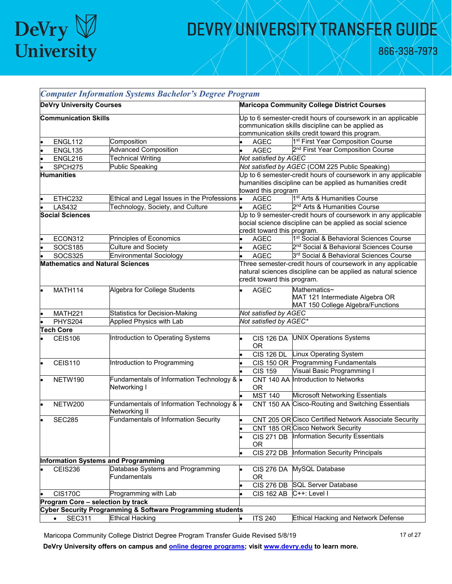

866-338-7973

|                   |                                         | <b>Computer Information Systems Bachelor's Degree Program</b> |                                                                                                                                                                       |                                                                                                                                                             |                                                                                                                             |  |
|-------------------|-----------------------------------------|---------------------------------------------------------------|-----------------------------------------------------------------------------------------------------------------------------------------------------------------------|-------------------------------------------------------------------------------------------------------------------------------------------------------------|-----------------------------------------------------------------------------------------------------------------------------|--|
|                   | <b>DeVry University Courses</b>         |                                                               | <b>Maricopa Community College District Courses</b>                                                                                                                    |                                                                                                                                                             |                                                                                                                             |  |
|                   | <b>Communication Skills</b>             |                                                               | Up to 6 semester-credit hours of coursework in an applicable<br>communication skills discipline can be applied as<br>communication skills credit toward this program. |                                                                                                                                                             |                                                                                                                             |  |
|                   | ENGL112                                 | Composition                                                   |                                                                                                                                                                       | <b>AGEC</b>                                                                                                                                                 | 1 <sup>st</sup> First Year Composition Course                                                                               |  |
|                   | ENGL135                                 | <b>Advanced Composition</b>                                   |                                                                                                                                                                       | <b>AGEC</b>                                                                                                                                                 | 2 <sup>nd</sup> First Year Composition Course                                                                               |  |
|                   | ENGL216                                 | <b>Technical Writing</b>                                      |                                                                                                                                                                       | Not satisfied by AGEC                                                                                                                                       |                                                                                                                             |  |
|                   | SPCH275                                 | <b>Public Speaking</b>                                        |                                                                                                                                                                       |                                                                                                                                                             | Not satisfied by AGEC (COM 225 Public Speaking)                                                                             |  |
| <b>Humanities</b> |                                         |                                                               | Jp to 6 semester-credit hours of coursework in any applicable<br>humanities discipline can be applied as humanities credit<br>toward this program                     |                                                                                                                                                             |                                                                                                                             |  |
|                   | ETHC232                                 | Ethical and Legal Issues in the Professions .                 |                                                                                                                                                                       | <b>AGEC</b>                                                                                                                                                 | 1 <sup>st</sup> Arts & Humanities Course                                                                                    |  |
|                   | <b>LAS432</b>                           | Technology, Society, and Culture                              |                                                                                                                                                                       | <b>AGEC</b>                                                                                                                                                 | 2 <sup>nd</sup> Arts & Humanities Course                                                                                    |  |
|                   | <b>Social Sciences</b>                  |                                                               |                                                                                                                                                                       | credit toward this program.                                                                                                                                 | Up to 9 semester-credit hours of coursework in any applicable<br>social science discipline can be applied as social science |  |
|                   | ECON312                                 | Principles of Economics                                       |                                                                                                                                                                       | <b>AGEC</b>                                                                                                                                                 | 1 <sup>st</sup> Social & Behavioral Sciences Course                                                                         |  |
|                   | <b>SOCS185</b>                          | <b>Culture and Society</b>                                    |                                                                                                                                                                       | <b>AGEC</b>                                                                                                                                                 | 2 <sup>nd</sup> Social & Behavioral Sciences Course                                                                         |  |
|                   | <b>SOCS325</b>                          | <b>Environmental Sociology</b>                                |                                                                                                                                                                       | <b>AGEC</b>                                                                                                                                                 | 3rd Social & Behavioral Sciences Course                                                                                     |  |
|                   | <b>Mathematics and Natural Sciences</b> |                                                               |                                                                                                                                                                       | Three semester-credit hours of coursework in any applicable<br>natural sciences discipline can be applied as natural science<br>credit toward this program. |                                                                                                                             |  |
|                   | <b>MATH114</b>                          | Algebra for College Students                                  |                                                                                                                                                                       | <b>AGEC</b>                                                                                                                                                 | Mathematics~<br>MAT 121 Intermediate Algebra OR<br>MAT 150 College Algebra/Functions                                        |  |
|                   | MATH221                                 | <b>Statistics for Decision-Making</b>                         |                                                                                                                                                                       | Not satisfied by AGEC                                                                                                                                       |                                                                                                                             |  |
|                   | PHYS204                                 | <b>Applied Physics with Lab</b>                               |                                                                                                                                                                       | Not satisfied by AGEC*                                                                                                                                      |                                                                                                                             |  |
|                   | <b>Tech Core</b>                        |                                                               |                                                                                                                                                                       |                                                                                                                                                             |                                                                                                                             |  |
|                   | <b>CEIS106</b>                          | Introduction to Operating Systems                             |                                                                                                                                                                       | <b>CIS 126 DA</b><br><b>OR</b>                                                                                                                              | <b>UNIX Operations Systems</b>                                                                                              |  |
|                   |                                         |                                                               |                                                                                                                                                                       | <b>CIS 126 DL</b>                                                                                                                                           | Linux Operating System                                                                                                      |  |
|                   | <b>CEIS110</b>                          | Introduction to Programming                                   |                                                                                                                                                                       |                                                                                                                                                             | CIS 150 OR Programming Fundamentals                                                                                         |  |
|                   |                                         |                                                               |                                                                                                                                                                       | <b>CIS 159</b>                                                                                                                                              | Visual Basic Programming I                                                                                                  |  |
|                   | NETW190                                 | Fundamentals of Information Technology & .<br>Networking I    |                                                                                                                                                                       | 0R                                                                                                                                                          | CNT 140 AA Introduction to Networks                                                                                         |  |
|                   |                                         |                                                               |                                                                                                                                                                       | <b>MST 140</b>                                                                                                                                              | Microsoft Networking Essentials                                                                                             |  |
|                   | NETW200                                 | Fundamentals of Information Technology & .<br>Networking II   |                                                                                                                                                                       | <b>CNT 150 AA</b>                                                                                                                                           | Cisco-Routing and Switching Essentials                                                                                      |  |
|                   | <b>SEC285</b>                           | <b>Fundamentals of Information Security</b>                   |                                                                                                                                                                       |                                                                                                                                                             | CNT 205 OR Cisco Certified Network Associate Security                                                                       |  |
|                   |                                         |                                                               |                                                                                                                                                                       |                                                                                                                                                             | CNT 185 OR Cisco Network Security                                                                                           |  |
|                   |                                         |                                                               |                                                                                                                                                                       | <b>OR</b>                                                                                                                                                   | CIS 271 DB Information Security Essentials                                                                                  |  |
|                   |                                         |                                                               |                                                                                                                                                                       | <b>CIS 272 DB</b>                                                                                                                                           | Information Security Principals                                                                                             |  |
|                   |                                         | Information Systems and Programming                           |                                                                                                                                                                       |                                                                                                                                                             |                                                                                                                             |  |
|                   | <b>CEIS236</b>                          | Database Systems and Programming<br><b>Fundamentals</b>       |                                                                                                                                                                       | <b>CIS 276 DA</b><br>0 <sub>R</sub>                                                                                                                         | MySQL Database                                                                                                              |  |
|                   |                                         |                                                               |                                                                                                                                                                       | $\overline{C}$ IS 276 DB                                                                                                                                    | <b>SQL Server Database</b>                                                                                                  |  |
|                   | <b>CIS170C</b>                          | Programming with Lab                                          |                                                                                                                                                                       | <b>CIS 162 AB</b>                                                                                                                                           | C++: Level I                                                                                                                |  |
|                   | Program Core - selection by track       |                                                               |                                                                                                                                                                       |                                                                                                                                                             |                                                                                                                             |  |
|                   |                                         | Cyber Security Programming & Software Programming students    |                                                                                                                                                                       |                                                                                                                                                             |                                                                                                                             |  |
|                   | <b>SEC311</b><br>$\bullet$              | <b>Ethical Hacking</b>                                        |                                                                                                                                                                       | <b>ITS 240</b>                                                                                                                                              | <b>Ethical Hacking and Network Defense</b>                                                                                  |  |

Maricopa Community College District Degree Program Transfer Guide Revised 5/8/19 17 17 of 27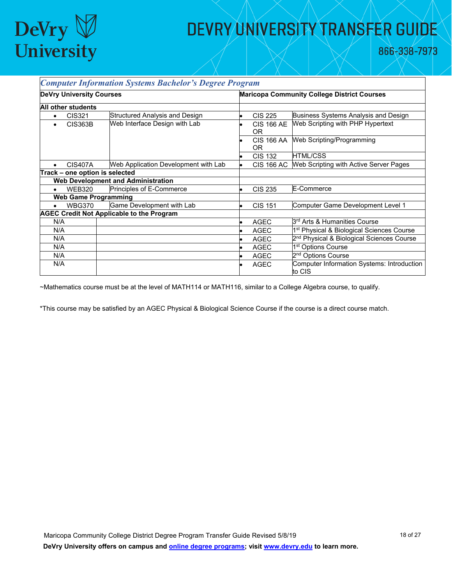

866-338-7973

| <b>Computer Information Systems Bachelor's Degree Program</b> |                                 |                                                  |                                                    |                          |                                                       |
|---------------------------------------------------------------|---------------------------------|--------------------------------------------------|----------------------------------------------------|--------------------------|-------------------------------------------------------|
|                                                               | <b>DeVry University Courses</b> |                                                  | <b>Maricopa Community College District Courses</b> |                          |                                                       |
|                                                               | <b>All other students</b>       |                                                  |                                                    |                          |                                                       |
| $\bullet$                                                     | CIS321                          | Structured Analysis and Design                   |                                                    | <b>CIS 225</b>           | Business Systems Analysis and Design                  |
| ٠                                                             | CIS363B                         | Web Interface Design with Lab                    |                                                    | <b>CIS 166 AE</b><br>OR. | Web Scripting with PHP Hypertext                      |
|                                                               |                                 |                                                  |                                                    | <b>CIS 166 AA</b><br>OR. | Web Scripting/Programming                             |
|                                                               |                                 |                                                  |                                                    | <b>CIS 132</b>           | <b>HTML/CSS</b>                                       |
|                                                               | <b>CIS407A</b>                  | Web Application Development with Lab             |                                                    | <b>CIS 166 AC</b>        | Web Scripting with Active Server Pages                |
|                                                               | Track - one option is selected  |                                                  |                                                    |                          |                                                       |
|                                                               |                                 | <b>Web Development and Administration</b>        |                                                    |                          |                                                       |
| $\bullet$                                                     | <b>WEB320</b>                   | Principles of E-Commerce                         |                                                    | <b>CIS 235</b>           | E-Commerce                                            |
|                                                               | <b>Web Game Programming</b>     |                                                  |                                                    |                          |                                                       |
| $\bullet$                                                     | <b>WBG370</b>                   | Game Development with Lab                        |                                                    | <b>CIS 151</b>           | Computer Game Development Level 1                     |
|                                                               |                                 | <b>AGEC Credit Not Applicable to the Program</b> |                                                    |                          |                                                       |
| N/A                                                           |                                 |                                                  |                                                    | <b>AGEC</b>              | 3 <sup>rd</sup> Arts & Humanities Course              |
| N/A                                                           |                                 |                                                  |                                                    | <b>AGEC</b>              | 1 <sup>st</sup> Physical & Biological Sciences Course |
| N/A                                                           |                                 |                                                  |                                                    | <b>AGEC</b>              | 2 <sup>nd</sup> Physical & Biological Sciences Course |
| N/A                                                           |                                 |                                                  |                                                    | <b>AGEC</b>              | 1 <sup>st</sup> Options Course                        |
| N/A                                                           |                                 |                                                  |                                                    | <b>AGEC</b>              | 2 <sup>nd</sup> Options Course                        |
| N/A                                                           |                                 |                                                  |                                                    | AGEC                     | Computer Information Systems: Introduction<br>to CIS  |

~Mathematics course must be at the level of MATH114 or MATH116, similar to a College Algebra course, to qualify.

\*This course may be satisfied by an AGEC Physical & Biological Science Course if the course is a direct course match.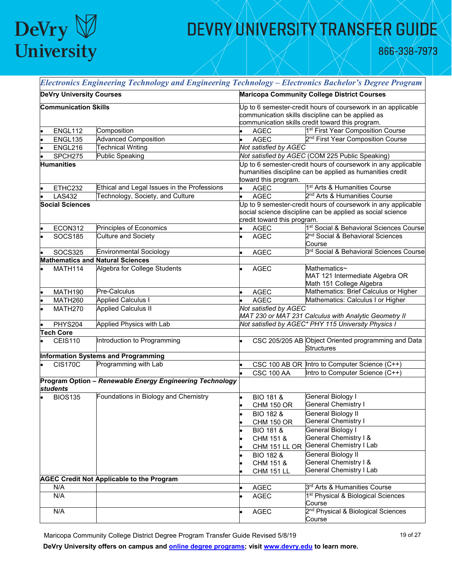

866-338-7973

| Electronics Engineering Technology and Engineering Technology - Electronics Bachelor's Degree Program |                                                          |                                                                                                                                                                       |                             |                                                                                                                             |
|-------------------------------------------------------------------------------------------------------|----------------------------------------------------------|-----------------------------------------------------------------------------------------------------------------------------------------------------------------------|-----------------------------|-----------------------------------------------------------------------------------------------------------------------------|
| <b>DeVry University Courses</b>                                                                       |                                                          | <b>Maricopa Community College District Courses</b>                                                                                                                    |                             |                                                                                                                             |
| <b>Communication Skills</b>                                                                           |                                                          | Up to 6 semester-credit hours of coursework in an applicable<br>communication skills discipline can be applied as<br>communication skills credit toward this program. |                             |                                                                                                                             |
| ENGL112                                                                                               | Composition                                              |                                                                                                                                                                       | <b>AGEC</b>                 | 1 <sup>st</sup> First Year Composition Course                                                                               |
| ENGL135                                                                                               | <b>Advanced Composition</b>                              |                                                                                                                                                                       | <b>AGEC</b>                 | 2 <sup>nd</sup> First Year Composition Course                                                                               |
| ENGL216                                                                                               | <b>Technical Writing</b>                                 |                                                                                                                                                                       | Not satisfied by AGEC       |                                                                                                                             |
| SPCH275                                                                                               | <b>Public Speaking</b>                                   |                                                                                                                                                                       |                             | Not satisfied by AGEC (COM 225 Public Speaking)                                                                             |
| <b>Humanities</b>                                                                                     |                                                          |                                                                                                                                                                       | toward this program.        | Up to 6 semester-credit hours of coursework in any applicable<br>humanities discipline can be applied as humanities credit  |
| ETHC232                                                                                               | Ethical and Legal Issues in the Professions              |                                                                                                                                                                       | <b>AGEC</b>                 | 1 <sup>st</sup> Arts & Humanities Course                                                                                    |
| <b>LAS432</b>                                                                                         | Technology, Society, and Culture                         |                                                                                                                                                                       | <b>AGEC</b>                 | 2 <sup>nd</sup> Arts & Humanities Course                                                                                    |
| <b>Social Sciences</b>                                                                                |                                                          |                                                                                                                                                                       | credit toward this program. | Up to 9 semester-credit hours of coursework in any applicable<br>social science discipline can be applied as social science |
| ECON312                                                                                               | Principles of Economics                                  |                                                                                                                                                                       | <b>AGEC</b>                 | 1st Social & Behavioral Sciences Course                                                                                     |
| <b>SOCS185</b>                                                                                        | <b>Culture and Society</b>                               |                                                                                                                                                                       | <b>AGEC</b>                 | 2 <sup>nd</sup> Social & Behavioral Sciences<br>Course                                                                      |
| <b>SOCS325</b>                                                                                        | <b>Environmental Sociology</b>                           |                                                                                                                                                                       | <b>AGEC</b>                 | 3 <sup>rd</sup> Social & Behavioral Sciences Course                                                                         |
|                                                                                                       | <b>Mathematics and Natural Sciences</b>                  |                                                                                                                                                                       |                             |                                                                                                                             |
| MATH114                                                                                               | Algebra for College Students                             |                                                                                                                                                                       | <b>AGEC</b>                 | Mathematics~<br>MAT 121 Intermediate Algebra OR<br>Math 151 College Algebra                                                 |
| <b>MATH190</b>                                                                                        | Pre-Calculus                                             |                                                                                                                                                                       | <b>AGEC</b>                 | Mathematics: Brief Calculus or Higher                                                                                       |
| MATH260                                                                                               | <b>Applied Calculus I</b>                                |                                                                                                                                                                       | <b>AGEC</b>                 | Mathematics: Calculus I or Higher                                                                                           |
| MATH270                                                                                               | <b>Applied Calculus II</b>                               |                                                                                                                                                                       | Not satisfied by AGEC       | MAT 230 or MAT 231 Calculus with Analytic Geometry II                                                                       |
| PHYS204                                                                                               | <b>Applied Physics with Lab</b>                          |                                                                                                                                                                       |                             | Not satisfied by AGEC* PHY 115 University Physics I                                                                         |
| <b>Tech Core</b>                                                                                      |                                                          |                                                                                                                                                                       |                             |                                                                                                                             |
| CEIS110                                                                                               | Introduction to Programming                              |                                                                                                                                                                       |                             | CSC 205/205 AB Object Oriented programming and Data<br><b>Structures</b>                                                    |
|                                                                                                       | <b>Information Systems and Programming</b>               |                                                                                                                                                                       |                             |                                                                                                                             |
| <b>CIS170C</b>                                                                                        | Programming with Lab                                     |                                                                                                                                                                       |                             | CSC 100 AB OR Intro to Computer Science (C++)                                                                               |
|                                                                                                       |                                                          |                                                                                                                                                                       | <b>CSC 100 AA</b>           | Intro to Computer Science (C++)                                                                                             |
| students                                                                                              | Program Option - Renewable Energy Engineering Technology |                                                                                                                                                                       |                             |                                                                                                                             |
| <b>BIOS135</b>                                                                                        | Foundations in Biology and Chemistry                     |                                                                                                                                                                       | <b>BIO 181 &amp;</b>        | General Biology I                                                                                                           |
|                                                                                                       |                                                          |                                                                                                                                                                       | <b>CHM 150 OR</b>           | General Chemistry I                                                                                                         |
|                                                                                                       |                                                          |                                                                                                                                                                       | BIO 182 &                   | General Biology II                                                                                                          |
|                                                                                                       |                                                          |                                                                                                                                                                       | <b>CHM 150 OR</b>           | General Chemistry I                                                                                                         |
|                                                                                                       |                                                          |                                                                                                                                                                       | <b>BIO 181 &amp;</b>        | General Biology I                                                                                                           |
|                                                                                                       |                                                          |                                                                                                                                                                       | CHM 151 &                   | General Chemistry I &                                                                                                       |
|                                                                                                       |                                                          |                                                                                                                                                                       |                             | CHM 151 LL OR General Chemistry I Lab                                                                                       |
|                                                                                                       |                                                          |                                                                                                                                                                       | <b>BIO 182 &amp;</b>        | General Biology II                                                                                                          |
|                                                                                                       |                                                          |                                                                                                                                                                       | CHM 151 &                   | General Chemistry I &                                                                                                       |
|                                                                                                       |                                                          |                                                                                                                                                                       | <b>CHM 151 LL</b>           | <b>General Chemistry I Lab</b>                                                                                              |
|                                                                                                       | <b>AGEC Credit Not Applicable to the Program</b>         |                                                                                                                                                                       |                             |                                                                                                                             |
| N/A                                                                                                   |                                                          |                                                                                                                                                                       | AGEC                        | 3 <sup>rd</sup> Arts & Humanities Course                                                                                    |
| N/A                                                                                                   |                                                          |                                                                                                                                                                       | <b>AGEC</b>                 | 1 <sup>st</sup> Physical & Biological Sciences<br>Course                                                                    |
| N/A                                                                                                   |                                                          |                                                                                                                                                                       | <b>AGEC</b>                 | 2 <sup>nd</sup> Physical & Biological Sciences<br>Course                                                                    |

Maricopa Community College District Degree Program Transfer Guide Revised 5/8/19 19 19 19 01 27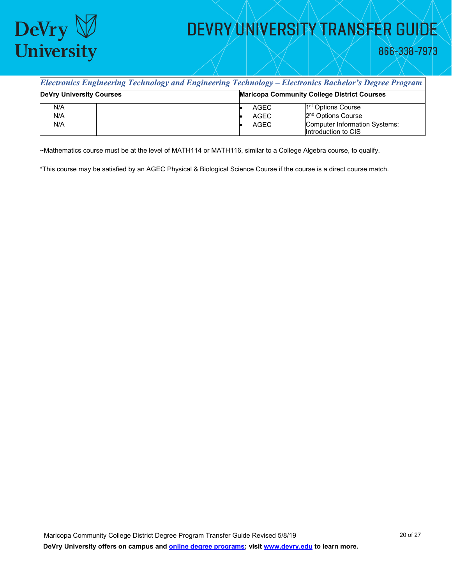

866-338-7973

| <b>Electronics Engineering Technology and Engineering Technology – Electronics Bachelor's Degree Program</b> |  |                                                    |                                                             |  |  |
|--------------------------------------------------------------------------------------------------------------|--|----------------------------------------------------|-------------------------------------------------------------|--|--|
| <b>DeVry University Courses</b>                                                                              |  | <b>Maricopa Community College District Courses</b> |                                                             |  |  |
| N/A                                                                                                          |  | AGEC                                               | 1 <sup>st</sup> Options Course                              |  |  |
| N/A                                                                                                          |  | <b>AGEC</b>                                        | 2 <sup>nd</sup> Options Course                              |  |  |
| N/A                                                                                                          |  | AGEC                                               | <b>Computer Information Systems:</b><br>Introduction to CIS |  |  |

~Mathematics course must be at the level of MATH114 or MATH116, similar to a College Algebra course, to qualify.

\*This course may be satisfied by an AGEC Physical & Biological Science Course if the course is a direct course match.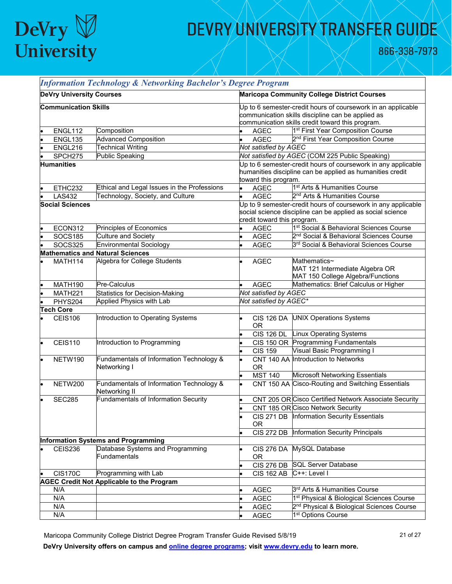

866-338-7973

| <b>Information Technology &amp; Networking Bachelor's Degree Program</b> |                                 |                                                           |  |                                                                                                                                                                       |                                                                                                                             |  |  |
|--------------------------------------------------------------------------|---------------------------------|-----------------------------------------------------------|--|-----------------------------------------------------------------------------------------------------------------------------------------------------------------------|-----------------------------------------------------------------------------------------------------------------------------|--|--|
|                                                                          | <b>DeVry University Courses</b> |                                                           |  | <b>Maricopa Community College District Courses</b>                                                                                                                    |                                                                                                                             |  |  |
|                                                                          | <b>Communication Skills</b>     |                                                           |  | Up to 6 semester-credit hours of coursework in an applicable<br>communication skills discipline can be applied as<br>communication skills credit toward this program. |                                                                                                                             |  |  |
|                                                                          | ENGL112                         | Composition                                               |  | <b>AGEC</b>                                                                                                                                                           | 1 <sup>st</sup> First Year Composition Course                                                                               |  |  |
|                                                                          | ENGL135                         | <b>Advanced Composition</b>                               |  | <b>AGEC</b>                                                                                                                                                           | 2 <sup>nd</sup> First Year Composition Course                                                                               |  |  |
|                                                                          | ENGL216                         | <b>Technical Writing</b>                                  |  | Not satisfied by AGEC                                                                                                                                                 |                                                                                                                             |  |  |
|                                                                          | SPCH275                         | Public Speaking                                           |  |                                                                                                                                                                       | Not satisfied by AGEC (COM 225 Public Speaking)                                                                             |  |  |
|                                                                          | <b>Humanities</b>               |                                                           |  | toward this program.                                                                                                                                                  | Up to 6 semester-credit hours of coursework in any applicable<br>humanities discipline can be applied as humanities credit  |  |  |
|                                                                          | ETHC232                         | Ethical and Legal Issues in the Professions               |  | <b>AGEC</b>                                                                                                                                                           | 1 <sup>st</sup> Arts & Humanities Course                                                                                    |  |  |
|                                                                          | <b>LAS432</b>                   | Technology, Society, and Culture                          |  | <b>AGEC</b>                                                                                                                                                           | 2 <sup>nd</sup> Arts & Humanities Course                                                                                    |  |  |
|                                                                          | <b>Social Sciences</b>          |                                                           |  | credit toward this program.                                                                                                                                           | Up to 9 semester-credit hours of coursework in any applicable<br>social science discipline can be applied as social science |  |  |
|                                                                          | ECON312                         | Principles of Economics                                   |  | <b>AGEC</b>                                                                                                                                                           | 1 <sup>st</sup> Social & Behavioral Sciences Course                                                                         |  |  |
|                                                                          | <b>SOCS185</b>                  | Culture and Society                                       |  | <b>AGEC</b>                                                                                                                                                           | 2 <sup>nd</sup> Social & Behavioral Sciences Course                                                                         |  |  |
|                                                                          | <b>SOCS325</b>                  | <b>Environmental Sociology</b>                            |  | <b>AGEC</b>                                                                                                                                                           | 3 <sup>rd</sup> Social & Behavioral Sciences Course                                                                         |  |  |
|                                                                          |                                 | <b>Mathematics and Natural Sciences</b>                   |  |                                                                                                                                                                       |                                                                                                                             |  |  |
|                                                                          | MATH114                         | Algebra for College Students                              |  | <b>AGEC</b>                                                                                                                                                           | Mathematics~<br>MAT 121 Intermediate Algebra OR<br>MAT 150 College Algebra/Functions                                        |  |  |
|                                                                          | MATH190                         | Pre-Calculus                                              |  | <b>AGEC</b>                                                                                                                                                           | Mathematics: Brief Calculus or Higher                                                                                       |  |  |
|                                                                          | <b>MATH221</b>                  | <b>Statistics for Decision-Making</b>                     |  | Not satisfied by AGEC                                                                                                                                                 |                                                                                                                             |  |  |
|                                                                          | PHYS204                         | Applied Physics with Lab                                  |  | Not satisfied by AGEC*                                                                                                                                                |                                                                                                                             |  |  |
|                                                                          | <b>Tech Core</b>                |                                                           |  |                                                                                                                                                                       |                                                                                                                             |  |  |
|                                                                          | CEIS106                         | Introduction to Operating Systems                         |  | <b>CIS 126 DA</b><br><b>OR</b>                                                                                                                                        | <b>UNIX Operations Systems</b>                                                                                              |  |  |
|                                                                          |                                 |                                                           |  |                                                                                                                                                                       | CIS 126 DL Linux Operating Systems                                                                                          |  |  |
|                                                                          | <b>CEIS110</b>                  | Introduction to Programming                               |  |                                                                                                                                                                       | CIS 150 OR Programming Fundamentals                                                                                         |  |  |
|                                                                          |                                 |                                                           |  | <b>CIS 159</b>                                                                                                                                                        | Visual Basic Programming I                                                                                                  |  |  |
|                                                                          | NETW190                         | Fundamentals of Information Technology &<br>Networking I  |  | <b>OR</b>                                                                                                                                                             | CNT 140 AA Introduction to Networks                                                                                         |  |  |
|                                                                          |                                 |                                                           |  | <b>MST 140</b>                                                                                                                                                        | Microsoft Networking Essentials                                                                                             |  |  |
|                                                                          | NETW200                         | Fundamentals of Information Technology &<br>Networking II |  |                                                                                                                                                                       | CNT 150 AA Cisco-Routing and Switching Essentials                                                                           |  |  |
|                                                                          | <b>SEC285</b>                   | <b>Fundamentals of Information Security</b>               |  |                                                                                                                                                                       | CNT 205 OR Cisco Certified Network Associate Security                                                                       |  |  |
|                                                                          |                                 |                                                           |  |                                                                                                                                                                       | CNT 185 OR Cisco Network Security                                                                                           |  |  |
|                                                                          |                                 |                                                           |  | <b>OR</b>                                                                                                                                                             | CIS 271 DB Information Security Essentials                                                                                  |  |  |
|                                                                          |                                 |                                                           |  | <b>CIS 272 DB</b>                                                                                                                                                     | Information Security Principals                                                                                             |  |  |
|                                                                          |                                 | Information Systems and Programming                       |  |                                                                                                                                                                       |                                                                                                                             |  |  |
|                                                                          | <b>CEIS236</b>                  | Database Systems and Programming<br>Fundamentals          |  | <b>CIS 276 DA</b><br>OR.                                                                                                                                              | MySQL Database                                                                                                              |  |  |
|                                                                          |                                 |                                                           |  | <b>CIS 276 DB</b>                                                                                                                                                     | <b>SQL Server Database</b>                                                                                                  |  |  |
|                                                                          | <b>CIS170C</b>                  | Programming with Lab                                      |  | <b>CIS 162 AB</b>                                                                                                                                                     | C++: Level I                                                                                                                |  |  |
|                                                                          |                                 | <b>AGEC Credit Not Applicable to the Program</b>          |  |                                                                                                                                                                       |                                                                                                                             |  |  |
|                                                                          | N/A                             |                                                           |  | <b>AGEC</b>                                                                                                                                                           | 3 <sup>rd</sup> Arts & Humanities Course                                                                                    |  |  |
|                                                                          | N/A                             |                                                           |  | <b>AGEC</b>                                                                                                                                                           | 1 <sup>st</sup> Physical & Biological Sciences Course                                                                       |  |  |
|                                                                          | N/A                             |                                                           |  | <b>AGEC</b>                                                                                                                                                           | 2 <sup>nd</sup> Physical & Biological Sciences Course                                                                       |  |  |
|                                                                          | N/A                             |                                                           |  | AGEC                                                                                                                                                                  | 1 <sup>st</sup> Options Course                                                                                              |  |  |

Maricopa Community College District Degree Program Transfer Guide Revised 5/8/19 21 21 0f 27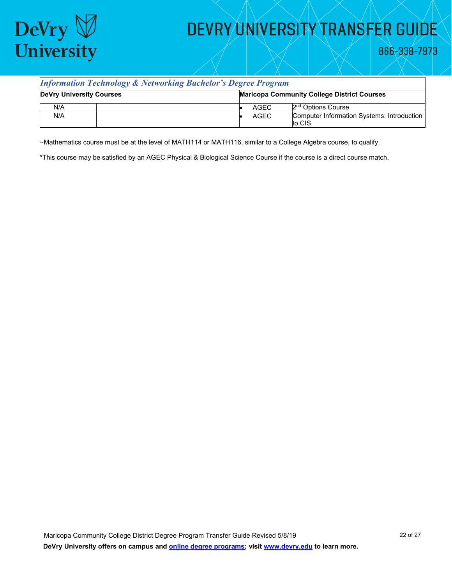

866-338-7973

#### *Information Technology & Networking Bachelor's Degree Program*

| <b>DeVry University Courses</b> |  | <b>Maricopa Community College District Courses</b> |      |                                                             |
|---------------------------------|--|----------------------------------------------------|------|-------------------------------------------------------------|
| N/A                             |  |                                                    | AGEC | 2 <sup>nd</sup> Options Course                              |
| N/A                             |  |                                                    | AGEC | <b>Computer Information Systems: Introduction</b><br>to CIS |

~Mathematics course must be at the level of MATH114 or MATH116, similar to a College Algebra course, to qualify.

\*This course may be satisfied by an AGEC Physical & Biological Science Course if the course is a direct course match.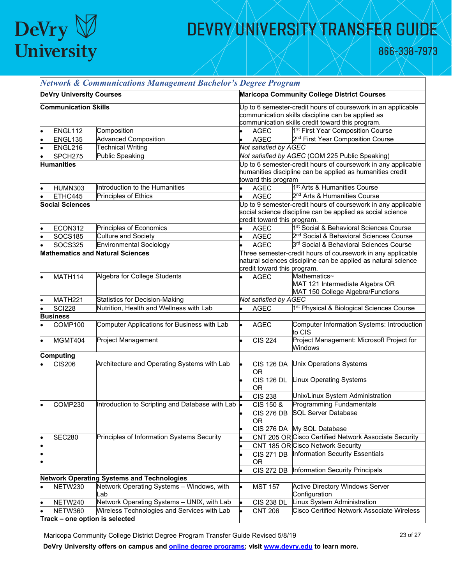

866-338-7973

|                                         | <b>Network &amp; Communications Management Bachelor's Degree Program</b> |                                                   |                                                                                                                                                                       |                                |                                                                                                                             |
|-----------------------------------------|--------------------------------------------------------------------------|---------------------------------------------------|-----------------------------------------------------------------------------------------------------------------------------------------------------------------------|--------------------------------|-----------------------------------------------------------------------------------------------------------------------------|
|                                         | <b>DeVry University Courses</b>                                          |                                                   |                                                                                                                                                                       |                                | <b>Maricopa Community College District Courses</b>                                                                          |
|                                         | <b>Communication Skills</b>                                              |                                                   | Up to 6 semester-credit hours of coursework in an applicable<br>communication skills discipline can be applied as<br>communication skills credit toward this program. |                                |                                                                                                                             |
|                                         | ENGL112                                                                  | Composition                                       |                                                                                                                                                                       | AGEC                           | 1 <sup>st</sup> First Year Composition Course                                                                               |
|                                         | ENGL135                                                                  | <b>Advanced Composition</b>                       |                                                                                                                                                                       | <b>AGEC</b>                    | 2 <sup>nd</sup> First Year Composition Course                                                                               |
|                                         | ENGL216                                                                  | <b>Technical Writing</b>                          |                                                                                                                                                                       | Not satisfied by AGEC          |                                                                                                                             |
|                                         | SPCH275                                                                  | Public Speaking                                   |                                                                                                                                                                       |                                | Not satisfied by AGEC (COM 225 Public Speaking)                                                                             |
|                                         | <b>Humanities</b>                                                        |                                                   |                                                                                                                                                                       | toward this program            | Up to 6 semester-credit hours of coursework in any applicable<br>humanities discipline can be applied as humanities credit  |
|                                         | <b>HUMN303</b>                                                           | Introduction to the Humanities                    |                                                                                                                                                                       | <b>AGEC</b>                    | 1 <sup>st</sup> Arts & Humanities Course                                                                                    |
|                                         | ETHC445                                                                  | <b>Principles of Ethics</b>                       |                                                                                                                                                                       | <b>AGEC</b>                    | 2 <sup>nd</sup> Arts & Humanities Course                                                                                    |
|                                         | <b>Social Sciences</b>                                                   |                                                   |                                                                                                                                                                       | credit toward this program.    | Up to 9 semester-credit hours of coursework in any applicable<br>social science discipline can be applied as social science |
|                                         | ECON312                                                                  | Principles of Economics                           |                                                                                                                                                                       | AGEC                           | 1st Social & Behavioral Sciences Course                                                                                     |
|                                         | <b>SOCS185</b>                                                           | <b>Culture and Society</b>                        |                                                                                                                                                                       | <b>AGEC</b>                    | 2 <sup>nd</sup> Social & Behavioral Sciences Course                                                                         |
|                                         | <b>SOCS325</b>                                                           | <b>Environmental Sociology</b>                    |                                                                                                                                                                       | <b>AGEC</b>                    | 3rd Social & Behavioral Sciences Course                                                                                     |
| <b>Mathematics and Natural Sciences</b> |                                                                          |                                                   | Three semester-credit hours of coursework in any applicable<br>natural sciences discipline can be applied as natural science<br>credit toward this program.           |                                |                                                                                                                             |
|                                         | MATH114                                                                  | Algebra for College Students                      |                                                                                                                                                                       | <b>AGEC</b>                    | Mathematics~<br>MAT 121 Intermediate Algebra OR<br>MAT 150 College Algebra/Functions                                        |
|                                         | MATH221                                                                  | <b>Statistics for Decision-Making</b>             |                                                                                                                                                                       | Not satisfied by AGEC          |                                                                                                                             |
|                                         | <b>SCI228</b>                                                            | Nutrition, Health and Wellness with Lab           |                                                                                                                                                                       | <b>AGEC</b>                    | 1 <sup>st</sup> Physical & Biological Sciences Course                                                                       |
|                                         | <b>Business</b>                                                          |                                                   |                                                                                                                                                                       |                                |                                                                                                                             |
|                                         | COMP100                                                                  | Computer Applications for Business with Lab       |                                                                                                                                                                       | <b>AGEC</b>                    | Computer Information Systems: Introduction<br>to CIS                                                                        |
|                                         | MGMT404                                                                  | Project Management                                |                                                                                                                                                                       | <b>CIS 224</b>                 | Project Management: Microsoft Project for<br>Windows                                                                        |
|                                         | <b>Computing</b>                                                         |                                                   |                                                                                                                                                                       |                                |                                                                                                                             |
|                                         | <b>CIS206</b>                                                            | Architecture and Operating Systems with Lab       |                                                                                                                                                                       | <b>CIS 126 DA</b><br><b>OR</b> | <b>Unix Operations Systems</b>                                                                                              |
|                                         |                                                                          |                                                   |                                                                                                                                                                       | <b>CIS 126 DL</b><br><b>OR</b> | <b>Linux Operating Systems</b>                                                                                              |
|                                         |                                                                          |                                                   |                                                                                                                                                                       | <b>CIS 238</b>                 | Unix/Linux System Administration                                                                                            |
|                                         | COMP230                                                                  | Introduction to Scripting and Database with Lab . |                                                                                                                                                                       | CIS 150 &<br><b>OR</b>         | <b>Programming Fundamentals</b><br>CIS 276 DB SQL Server Database                                                           |
|                                         |                                                                          |                                                   |                                                                                                                                                                       |                                | CIS 276 DA My SQL Database                                                                                                  |
|                                         | <b>SEC280</b>                                                            | Principles of Information Systems Security        |                                                                                                                                                                       |                                | CNT 205 OR Cisco Certified Network Associate Security                                                                       |
|                                         |                                                                          |                                                   |                                                                                                                                                                       |                                | CNT 185 OR Cisco Network Security                                                                                           |
|                                         |                                                                          |                                                   |                                                                                                                                                                       | <b>CIS 271 DB</b><br>0R        | Information Security Essentials                                                                                             |
|                                         |                                                                          |                                                   |                                                                                                                                                                       | <b>CIS 272 DB</b>              | Information Security Principals                                                                                             |
|                                         |                                                                          | <b>Network Operating Systems and Technologies</b> |                                                                                                                                                                       |                                |                                                                                                                             |
|                                         | NETW230                                                                  | Network Operating Systems - Windows, with<br>_ab  |                                                                                                                                                                       | <b>MST 157</b>                 | <b>Active Directory Windows Server</b><br>Configuration                                                                     |
|                                         | NETW240                                                                  | Network Operating Systems - UNIX, with Lab        |                                                                                                                                                                       | <b>CIS 238 DL</b>              | Linux System Administration                                                                                                 |
|                                         | NETW360                                                                  | Wireless Technologies and Services with Lab       |                                                                                                                                                                       | <b>CNT 206</b>                 | <b>Cisco Certified Network Associate Wireless</b>                                                                           |
|                                         |                                                                          | Track - one option is selected                    |                                                                                                                                                                       |                                |                                                                                                                             |

Maricopa Community College District Degree Program Transfer Guide Revised 5/8/19 23 23 3 3 3 3 3 3 3 3 3 3 4 27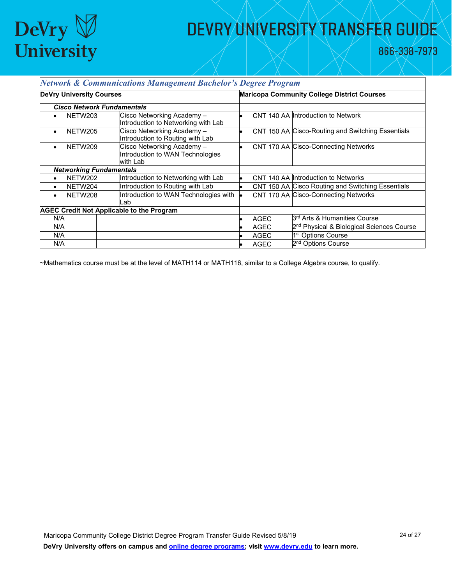

866-338-7973

| <b>Network &amp; Communications Management Bachelor's Degree Program</b> |                                                                            |             |                                                       |  |
|--------------------------------------------------------------------------|----------------------------------------------------------------------------|-------------|-------------------------------------------------------|--|
| <b>DeVry University Courses</b>                                          |                                                                            |             | <b>Maricopa Community College District Courses</b>    |  |
| <b>Cisco Network Fundamentals</b>                                        |                                                                            |             |                                                       |  |
| NETW203                                                                  | Cisco Networking Academy-<br>Introduction to Networking with Lab           |             | CNT 140 AA Introduction to Network                    |  |
| NETW205<br>$\bullet$                                                     | Cisco Networking Academy-<br>Introduction to Routing with Lab              |             | CNT 150 AA Cisco-Routing and Switching Essentials     |  |
| NETW209                                                                  | Cisco Networking Academy -<br>Introduction to WAN Technologies<br>with Lab |             | CNT 170 AA Cisco-Connecting Networks                  |  |
| <b>Networking Fundamentals</b>                                           |                                                                            |             |                                                       |  |
| NETW202                                                                  | Introduction to Networking with Lab                                        |             | CNT 140 AA Introduction to Networks                   |  |
| NETW204<br>$\bullet$                                                     | Introduction to Routing with Lab                                           |             | CNT 150 AA Cisco Routing and Switching Essentials     |  |
| NETW208<br>$\bullet$                                                     | Introduction to WAN Technologies with<br>Lab                               |             | CNT 170 AA Cisco-Connecting Networks                  |  |
| <b>AGEC Credit Not Applicable to the Program</b>                         |                                                                            |             |                                                       |  |
| N/A                                                                      |                                                                            | <b>AGEC</b> | B <sup>rd</sup> Arts & Humanities Course              |  |
| N/A                                                                      |                                                                            | <b>AGEC</b> | 2 <sup>nd</sup> Physical & Biological Sciences Course |  |
| N/A                                                                      |                                                                            | <b>AGEC</b> | 1 <sup>st</sup> Options Course                        |  |
| N/A                                                                      |                                                                            | <b>AGEC</b> | 2 <sup>nd</sup> Options Course                        |  |

~Mathematics course must be at the level of MATH114 or MATH116, similar to a College Algebra course, to qualify.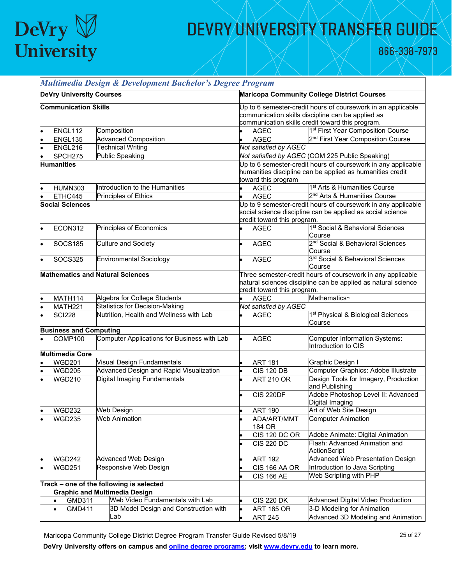

866-338-7973

|                                                                     |                                 | Multimedia Design & Development Bachelor's Degree Program     |                                                                                                                                                                       |                                                          |  |  |
|---------------------------------------------------------------------|---------------------------------|---------------------------------------------------------------|-----------------------------------------------------------------------------------------------------------------------------------------------------------------------|----------------------------------------------------------|--|--|
|                                                                     | <b>DeVry University Courses</b> |                                                               | <b>Maricopa Community College District Courses</b>                                                                                                                    |                                                          |  |  |
|                                                                     | <b>Communication Skills</b>     |                                                               | Jp to 6 semester-credit hours of coursework in an applicable<br>communication skills discipline can be applied as<br>communication skills credit toward this program. |                                                          |  |  |
|                                                                     | ENGL112                         | Composition                                                   | <b>AGEC</b>                                                                                                                                                           | 1 <sup>st</sup> First Year Composition Course            |  |  |
|                                                                     | ENGL135                         | <b>Advanced Composition</b>                                   | <b>AGEC</b>                                                                                                                                                           | 2 <sup>nd</sup> First Year Composition Course            |  |  |
|                                                                     | ENGL216                         | <b>Technical Writing</b>                                      | Not satisfied by AGEC                                                                                                                                                 |                                                          |  |  |
|                                                                     | SPCH275                         | <b>Public Speaking</b>                                        |                                                                                                                                                                       | Not satisfied by AGEC (COM 225 Public Speaking)          |  |  |
| <b>Humanities</b>                                                   |                                 | Jp to 6 semester-credit hours of coursework in any applicable |                                                                                                                                                                       |                                                          |  |  |
|                                                                     |                                 |                                                               | humanities discipline can be applied as humanities credit<br>toward this program                                                                                      |                                                          |  |  |
|                                                                     | <b>HUMN303</b>                  | Introduction to the Humanities                                | <b>AGEC</b>                                                                                                                                                           | 1 <sup>st</sup> Arts & Humanities Course                 |  |  |
|                                                                     | ETHC445                         | <b>Principles of Ethics</b>                                   | <b>AGEC</b>                                                                                                                                                           | 2 <sup>nd</sup> Arts & Humanities Course                 |  |  |
| <b>Social Sciences</b>                                              |                                 |                                                               | Jp to 9 semester-credit hours of coursework in any applicable<br>social science discipline can be applied as social science<br>credit toward this program.            |                                                          |  |  |
|                                                                     | ECON312                         | Principles of Economics                                       | <b>AGEC</b>                                                                                                                                                           | 1 <sup>st</sup> Social & Behavioral Sciences<br>Course   |  |  |
|                                                                     | <b>SOCS185</b>                  | <b>Culture and Society</b>                                    | <b>AGEC</b>                                                                                                                                                           | 2 <sup>nd</sup> Social & Behavioral Sciences<br>Course   |  |  |
|                                                                     | <b>SOCS325</b>                  | <b>Environmental Sociology</b>                                | <b>AGEC</b>                                                                                                                                                           | 3rd Social & Behavioral Sciences<br>Course               |  |  |
| <b>Mathematics and Natural Sciences</b>                             |                                 |                                                               | Three semester-credit hours of coursework in any applicable<br>natural sciences discipline can be applied as natural science<br>credit toward this program.           |                                                          |  |  |
|                                                                     | MATH114                         | Algebra for College Students                                  | <b>AGEC</b>                                                                                                                                                           | Mathematics~                                             |  |  |
|                                                                     | MATH <sub>221</sub>             | <b>Statistics for Decision-Making</b>                         | Not satisfied by AGEC                                                                                                                                                 |                                                          |  |  |
|                                                                     | <b>SCI228</b>                   | Nutrition, Health and Wellness with Lab                       | <b>AGEC</b>                                                                                                                                                           | 1 <sup>st</sup> Physical & Biological Sciences<br>Course |  |  |
|                                                                     | <b>Business and Computing</b>   |                                                               |                                                                                                                                                                       |                                                          |  |  |
|                                                                     | COMP100                         | Computer Applications for Business with Lab                   | <b>AGEC</b>                                                                                                                                                           | Computer Information Systems:<br>Introduction to CIS     |  |  |
|                                                                     | <b>Multimedia Core</b>          |                                                               |                                                                                                                                                                       |                                                          |  |  |
|                                                                     | <b>WGD201</b>                   | Visual Design Fundamentals                                    | <b>ART 181</b>                                                                                                                                                        | Graphic Design I                                         |  |  |
|                                                                     | <b>WGD205</b>                   | Advanced Design and Rapid Visualization                       | <b>CIS 120 DB</b>                                                                                                                                                     | Computer Graphics: Adobe Illustrate                      |  |  |
|                                                                     | <b>WGD210</b>                   | Digital Imaging Fundamentals                                  | <b>ART 210 OR</b>                                                                                                                                                     | Design Tools for Imagery, Production<br>and Publishing   |  |  |
|                                                                     |                                 |                                                               | <b>CIS 220DF</b>                                                                                                                                                      | Adobe Photoshop Level II: Advanced<br>Digital Imaging    |  |  |
|                                                                     | <b>WGD232</b>                   | <b>Web Design</b>                                             | <b>ART 190</b>                                                                                                                                                        | Art of Web Site Design                                   |  |  |
|                                                                     | <b>WGD235</b>                   | <b>Web Animation</b>                                          | ADA/ART/MMT<br>184 OR                                                                                                                                                 | <b>Computer Animation</b>                                |  |  |
|                                                                     |                                 |                                                               | <b>CIS 120 DC OR</b>                                                                                                                                                  | Adobe Animate: Digital Animation                         |  |  |
|                                                                     |                                 |                                                               | <b>CIS 220 DC</b>                                                                                                                                                     | Flash: Advanced Animation and<br>ActionScript            |  |  |
|                                                                     | <b>WGD242</b>                   | <b>Advanced Web Design</b>                                    | <b>ART 192</b>                                                                                                                                                        | Advanced Web Presentation Design                         |  |  |
|                                                                     | <b>WGD251</b>                   | Responsive Web Design                                         | CIS 166 AA OR                                                                                                                                                         | Introduction to Java Scripting                           |  |  |
|                                                                     |                                 |                                                               | <b>CIS 166 AE</b>                                                                                                                                                     | Web Scripting with PHP                                   |  |  |
|                                                                     |                                 | Track - one of the following is selected                      |                                                                                                                                                                       |                                                          |  |  |
|                                                                     |                                 | <b>Graphic and Multimedia Design</b>                          |                                                                                                                                                                       |                                                          |  |  |
|                                                                     | GMD311<br>$\bullet$             | Web Video Fundamentals with Lab                               | <b>CIS 220 DK</b>                                                                                                                                                     | Advanced Digital Video Production                        |  |  |
| 3D Model Design and Construction with<br>GMD411<br>$\bullet$<br>Lab |                                 |                                                               | <b>ART 185 OR</b>                                                                                                                                                     | 3-D Modeling for Animation                               |  |  |
|                                                                     |                                 |                                                               | <b>ART 245</b>                                                                                                                                                        | Advanced 3D Modeling and Animation                       |  |  |
|                                                                     |                                 |                                                               |                                                                                                                                                                       |                                                          |  |  |

Maricopa Community College District Degree Program Transfer Guide Revised 5/8/19 25 25 01 25 of 27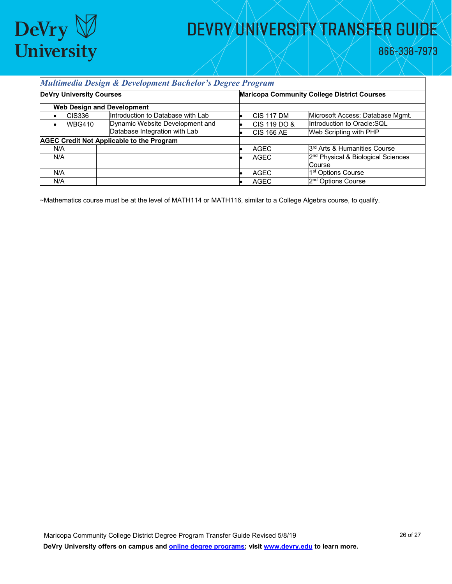

866-338-7973

#### *Multimedia Design & Development Bachelor's Degree Program*

| <b>DeVry University Courses</b>                  |                                   |  | <b>Maricopa Community College District Courses</b> |                                                |  |
|--------------------------------------------------|-----------------------------------|--|----------------------------------------------------|------------------------------------------------|--|
| <b>Web Design and Development</b>                |                                   |  |                                                    |                                                |  |
| <b>CIS336</b>                                    | Introduction to Database with Lab |  | <b>CIS 117 DM</b>                                  | Microsoft Access: Database Mgmt.               |  |
| <b>WBG410</b>                                    | Dynamic Website Development and   |  | CIS 119 DO &                                       | Introduction to Oracle: SQL                    |  |
|                                                  | Database Integration with Lab     |  | <b>CIS 166 AE</b>                                  | Web Scripting with PHP                         |  |
| <b>AGEC Credit Not Applicable to the Program</b> |                                   |  |                                                    |                                                |  |
| N/A                                              |                                   |  | <b>AGEC</b>                                        | 3 <sup>rd</sup> Arts & Humanities Course       |  |
| N/A                                              |                                   |  | AGEC                                               | 2 <sup>nd</sup> Physical & Biological Sciences |  |
|                                                  |                                   |  |                                                    | Course                                         |  |
| N/A                                              |                                   |  | AGEC                                               | 1 <sup>st</sup> Options Course                 |  |
| N/A                                              |                                   |  | <b>AGEC</b>                                        | 2 <sup>nd</sup> Options Course                 |  |

~Mathematics course must be at the level of MATH114 or MATH116, similar to a College Algebra course, to qualify.